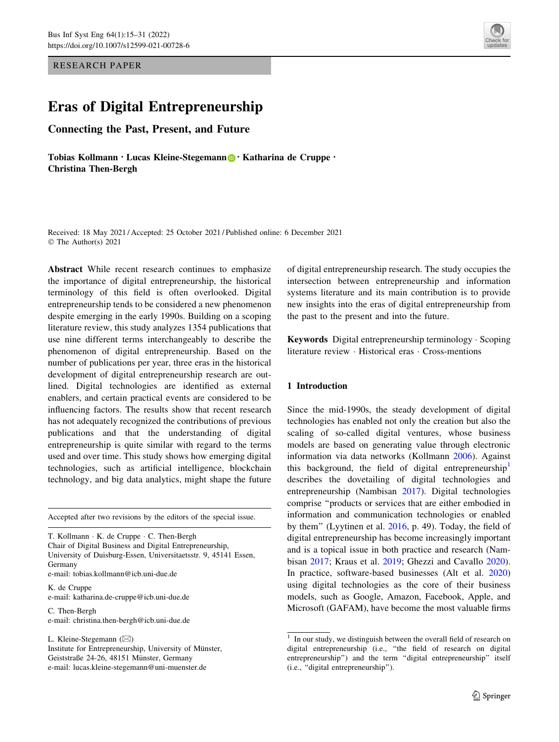RESEARCH PAPER

# Eras of Digital Entrepreneurship

Connecting the Past, Present, and Future

Tobias Kollmann · Lucas Kleine-Stegemann · Katharina de Cruppe · Christina Then-Bergh

Received: 18 May 2021 / Accepted: 25 October 2021 / Published online: 6 December 2021 © The Author(s) 2021

Abstract While recent research continues to emphasize the importance of digital entrepreneurship, the historical terminology of this field is often overlooked. Digital entrepreneurship tends to be considered a new phenomenon despite emerging in the early 1990s. Building on a scoping literature review, this study analyzes 1354 publications that use nine different terms interchangeably to describe the phenomenon of digital entrepreneurship. Based on the number of publications per year, three eras in the historical development of digital entrepreneurship research are outlined. Digital technologies are identified as external enablers, and certain practical events are considered to be influencing factors. The results show that recent research has not adequately recognized the contributions of previous publications and that the understanding of digital entrepreneurship is quite similar with regard to the terms used and over time. This study shows how emerging digital technologies, such as artificial intelligence, blockchain technology, and big data analytics, might shape the future

Accepted after two revisions by the editors of the special issue.

T. Kollmann - K. de Cruppe - C. Then-Bergh Chair of Digital Business and Digital Entrepreneurship, University of Duisburg-Essen, Universitaetsstr. 9, 45141 Essen, Germany e-mail: tobias.kollmann@icb.uni-due.de

K. de Cruppe e-mail: katharina.de-cruppe@icb.uni-due.de

C. Then-Bergh e-mail: christina.then-bergh@icb.uni-due.de

L. Kleine-Stegemann ( $\boxtimes$ )

Institute for Entrepreneurship, University of Münster, Geiststraße 24-26, 48151 Münster, Germany e-mail: lucas.kleine-stegemann@uni-muenster.de

of digital entrepreneurship research. The study occupies the intersection between entrepreneurship and information systems literature and its main contribution is to provide new insights into the eras of digital entrepreneurship from the past to the present and into the future.

Keywords Digital entrepreneurship terminology - Scoping literature review - Historical eras - Cross-mentions

## 1 Introduction

Since the mid-1990s, the steady development of digital technologies has enabled not only the creation but also the scaling of so-called digital ventures, whose business models are based on generating value through electronic information via data networks (Kollmann [2006](#page-14-0)). Against this background, the field of digital entrepreneurship<sup>1</sup> describes the dovetailing of digital technologies and entrepreneurship (Nambisan [2017\)](#page-15-0). Digital technologies comprise ''products or services that are either embodied in information and communication technologies or enabled by them'' (Lyytinen et al. [2016,](#page-15-0) p. 49). Today, the field of digital entrepreneurship has become increasingly important and is a topical issue in both practice and research (Nambisan [2017;](#page-15-0) Kraus et al. [2019;](#page-15-0) Ghezzi and Cavallo [2020](#page-14-0)). In practice, software-based businesses (Alt et al. [2020\)](#page-13-0) using digital technologies as the core of their business models, such as Google, Amazon, Facebook, Apple, and Microsoft (GAFAM), have become the most valuable firms



<sup>&</sup>lt;sup>1</sup> In our study, we distinguish between the overall field of research on digital entrepreneurship (i.e., ''the field of research on digital entrepreneurship") and the term "digital entrepreneurship" itself (i.e., ''digital entrepreneurship'').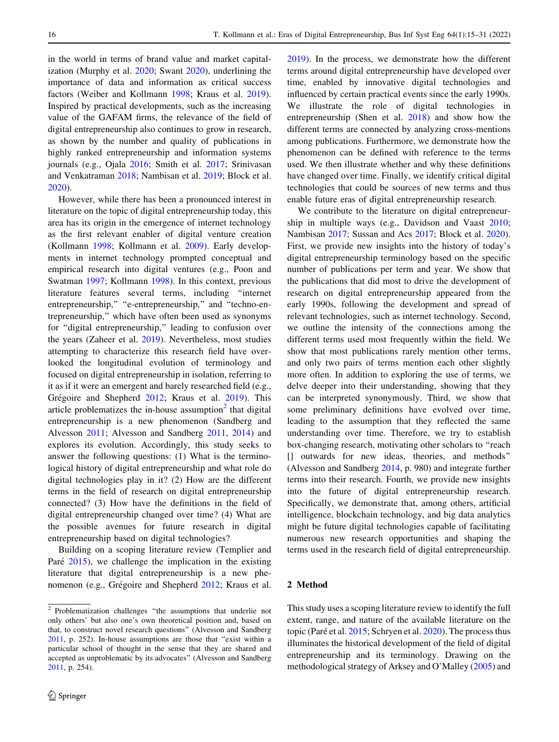in the world in terms of brand value and market capitalization (Murphy et al. [2020](#page-15-0); Swant [2020](#page-16-0)), underlining the importance of data and information as critical success factors (Weiber and Kollmann [1998;](#page-16-0) Kraus et al. [2019](#page-15-0)). Inspired by practical developments, such as the increasing value of the GAFAM firms, the relevance of the field of digital entrepreneurship also continues to grow in research, as shown by the number and quality of publications in highly ranked entrepreneurship and information systems journals (e.g., Ojala [2016](#page-15-0); Smith et al. [2017;](#page-16-0) Srinivasan and Venkatraman [2018](#page-16-0); Nambisan et al. [2019;](#page-15-0) Block et al. [2020\)](#page-13-0).

However, while there has been a pronounced interest in literature on the topic of digital entrepreneurship today, this area has its origin in the emergence of internet technology as the first relevant enabler of digital venture creation (Kollmann [1998;](#page-14-0) Kollmann et al. [2009](#page-14-0)). Early developments in internet technology prompted conceptual and empirical research into digital ventures (e.g., Poon and Swatman [1997;](#page-15-0) Kollmann [1998\)](#page-14-0). In this context, previous literature features several terms, including ''internet entrepreneurship," "e-entrepreneurship," and "techno-entrepreneurship,'' which have often been used as synonyms for ''digital entrepreneurship,'' leading to confusion over the years (Zaheer et al. [2019\)](#page-16-0). Nevertheless, most studies attempting to characterize this research field have overlooked the longitudinal evolution of terminology and focused on digital entrepreneurship in isolation, referring to it as if it were an emergent and barely researched field (e.g., Grégoire and Shepherd [2012;](#page-14-0) Kraus et al. [2019](#page-15-0)). This article problematizes the in-house assumption $<sup>2</sup>$  that digital</sup> entrepreneurship is a new phenomenon (Sandberg and Alvesson [2011](#page-16-0); Alvesson and Sandberg [2011,](#page-13-0) [2014](#page-13-0)) and explores its evolution. Accordingly, this study seeks to answer the following questions: (1) What is the terminological history of digital entrepreneurship and what role do digital technologies play in it? (2) How are the different terms in the field of research on digital entrepreneurship connected? (3) How have the definitions in the field of digital entrepreneurship changed over time? (4) What are the possible avenues for future research in digital entrepreneurship based on digital technologies?

Building on a scoping literature review (Templier and Paré  $2015$ ), we challenge the implication in the existing literature that digital entrepreneurship is a new phe-nomenon (e.g., Grégoire and Shepherd [2012](#page-14-0); Kraus et al. [2019](#page-15-0)). In the process, we demonstrate how the different terms around digital entrepreneurship have developed over time, enabled by innovative digital technologies and influenced by certain practical events since the early 1990s. We illustrate the role of digital technologies in entrepreneurship (Shen et al. [2018\)](#page-16-0) and show how the different terms are connected by analyzing cross-mentions among publications. Furthermore, we demonstrate how the phenomenon can be defined with reference to the terms used. We then illustrate whether and why these definitions have changed over time. Finally, we identify critical digital technologies that could be sources of new terms and thus enable future eras of digital entrepreneurship research.

We contribute to the literature on digital entrepreneurship in multiple ways (e.g., Davidson and Vaast [2010](#page-14-0); Nambisan [2017;](#page-15-0) Sussan and Acs [2017](#page-16-0); Block et al. [2020](#page-13-0)). First, we provide new insights into the history of today's digital entrepreneurship terminology based on the specific number of publications per term and year. We show that the publications that did most to drive the development of research on digital entrepreneurship appeared from the early 1990s, following the development and spread of relevant technologies, such as internet technology. Second, we outline the intensity of the connections among the different terms used most frequently within the field. We show that most publications rarely mention other terms, and only two pairs of terms mention each other slightly more often. In addition to exploring the use of terms, we delve deeper into their understanding, showing that they can be interpreted synonymously. Third, we show that some preliminary definitions have evolved over time, leading to the assumption that they reflected the same understanding over time. Therefore, we try to establish box-changing research, motivating other scholars to ''reach [] outwards for new ideas, theories, and methods'' (Alvesson and Sandberg [2014](#page-13-0), p. 980) and integrate further terms into their research. Fourth, we provide new insights into the future of digital entrepreneurship research. Specifically, we demonstrate that, among others, artificial intelligence, blockchain technology, and big data analytics might be future digital technologies capable of facilitating numerous new research opportunities and shaping the terms used in the research field of digital entrepreneurship.

## 2 Method

This study uses a scoping literature review to identify the full extent, range, and nature of the available literature on the topic (Paré et al. [2015](#page-15-0); Schryen et al. [2020](#page-16-0)). The process thus illuminates the historical development of the field of digital entrepreneurship and its terminology. Drawing on the methodological strategy of Arksey and O'Malley ([2005\)](#page-13-0) and

<sup>2</sup> Problematization challenges ''the assumptions that underlie not only others' but also one's own theoretical position and, based on that, to construct novel research questions'' (Alvesson and Sandberg [2011,](#page-13-0) p. 252). In-house assumptions are those that ''exist within a particular school of thought in the sense that they are shared and accepted as unproblematic by its advocates'' (Alvesson and Sandberg [2011,](#page-13-0) p. 254).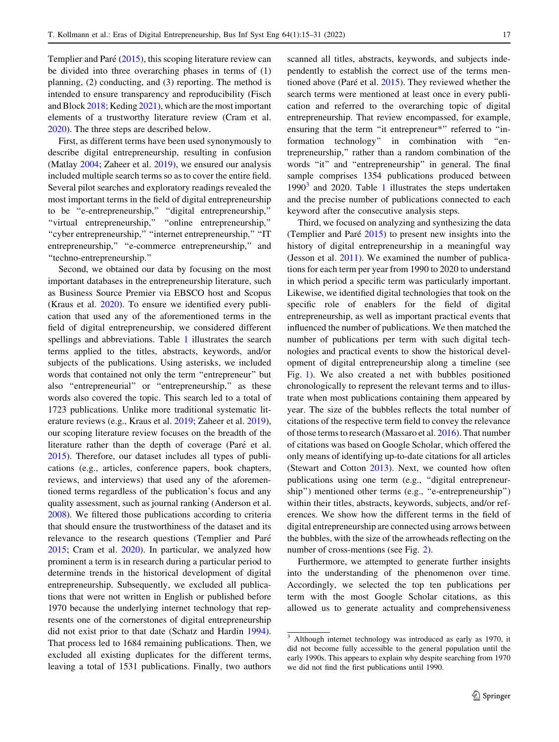Templier and Paré  $(2015)$  $(2015)$ , this scoping literature review can be divided into three overarching phases in terms of (1) planning, (2) conducting, and (3) reporting. The method is intended to ensure transparency and reproducibility (Fisch and Block [2018;](#page-14-0) Keding [2021\)](#page-14-0), which are the most important elements of a trustworthy literature review (Cram et al. [2020\)](#page-14-0). The three steps are described below.

First, as different terms have been used synonymously to describe digital entrepreneurship, resulting in confusion (Matlay [2004](#page-15-0); Zaheer et al. [2019](#page-16-0)), we ensured our analysis included multiple search terms so as to cover the entire field. Several pilot searches and exploratory readings revealed the most important terms in the field of digital entrepreneurship to be ''e-entrepreneurship,'' ''digital entrepreneurship,'' ''virtual entrepreneurship,'' ''online entrepreneurship,'' ''cyber entrepreneurship,'' ''internet entrepreneurship,'' ''IT entrepreneurship," "e-commerce entrepreneurship," and ''techno-entrepreneurship.''

Second, we obtained our data by focusing on the most important databases in the entrepreneurship literature, such as Business Source Premier via EBSCO host and Scopus (Kraus et al. [2020\)](#page-15-0). To ensure we identified every publication that used any of the aforementioned terms in the field of digital entrepreneurship, we considered different spellings and abbreviations. Table [1](#page-3-0) illustrates the search terms applied to the titles, abstracts, keywords, and/or subjects of the publications. Using asterisks, we included words that contained not only the term ''entrepreneur'' but also ''entrepreneurial'' or ''entrepreneurship,'' as these words also covered the topic. This search led to a total of 1723 publications. Unlike more traditional systematic literature reviews (e.g., Kraus et al. [2019;](#page-15-0) Zaheer et al. [2019](#page-16-0)), our scoping literature review focuses on the breadth of the literature rather than the depth of coverage (Paré et al. [2015\)](#page-15-0). Therefore, our dataset includes all types of publications (e.g., articles, conference papers, book chapters, reviews, and interviews) that used any of the aforementioned terms regardless of the publication's focus and any quality assessment, such as journal ranking (Anderson et al. [2008\)](#page-13-0). We filtered those publications according to criteria that should ensure the trustworthiness of the dataset and its relevance to the research questions (Templier and Paré [2015;](#page-16-0) Cram et al. [2020](#page-14-0)). In particular, we analyzed how prominent a term is in research during a particular period to determine trends in the historical development of digital entrepreneurship. Subsequently, we excluded all publications that were not written in English or published before 1970 because the underlying internet technology that represents one of the cornerstones of digital entrepreneurship did not exist prior to that date (Schatz and Hardin [1994](#page-16-0)). That process led to 1684 remaining publications. Then, we excluded all existing duplicates for the different terms, leaving a total of 1531 publications. Finally, two authors scanned all titles, abstracts, keywords, and subjects independently to establish the correct use of the terms mentioned above (Paré et al.  $2015$ ). They reviewed whether the search terms were mentioned at least once in every publication and referred to the overarching topic of digital entrepreneurship. That review encompassed, for example, ensuring that the term "it entrepreneur\*" referred to "information technology'' in combination with ''entrepreneurship,'' rather than a random combination of the words "it" and "entrepreneurship" in general. The final sample comprises 1354 publications produced between  $1990<sup>3</sup>$  $1990<sup>3</sup>$  and 2020. Table 1 illustrates the steps undertaken and the precise number of publications connected to each keyword after the consecutive analysis steps.

Third, we focused on analyzing and synthesizing the data (Templier and Paré  $2015$ ) to present new insights into the history of digital entrepreneurship in a meaningful way (Jesson et al. [2011](#page-14-0)). We examined the number of publications for each term per year from 1990 to 2020 to understand in which period a specific term was particularly important. Likewise, we identified digital technologies that took on the specific role of enablers for the field of digital entrepreneurship, as well as important practical events that influenced the number of publications. We then matched the number of publications per term with such digital technologies and practical events to show the historical development of digital entrepreneurship along a timeline (see Fig. [1](#page-4-0)). We also created a net with bubbles positioned chronologically to represent the relevant terms and to illustrate when most publications containing them appeared by year. The size of the bubbles reflects the total number of citations of the respective term field to convey the relevance of those terms to research (Massaro et al. [2016](#page-15-0)). That number of citations was based on Google Scholar, which offered the only means of identifying up-to-date citations for all articles (Stewart and Cotton [2013](#page-16-0)). Next, we counted how often publications using one term (e.g., "digital entrepreneurship") mentioned other terms (e.g., "e-entrepreneurship") within their titles, abstracts, keywords, subjects, and/or references. We show how the different terms in the field of digital entrepreneurship are connected using arrows between the bubbles, with the size of the arrowheads reflecting on the number of cross-mentions (see Fig. [2\)](#page-7-0).

Furthermore, we attempted to generate further insights into the understanding of the phenomenon over time. Accordingly, we selected the top ten publications per term with the most Google Scholar citations, as this allowed us to generate actuality and comprehensiveness

<sup>3</sup> Although internet technology was introduced as early as 1970, it did not become fully accessible to the general population until the early 1990s. This appears to explain why despite searching from 1970 we did not find the first publications until 1990.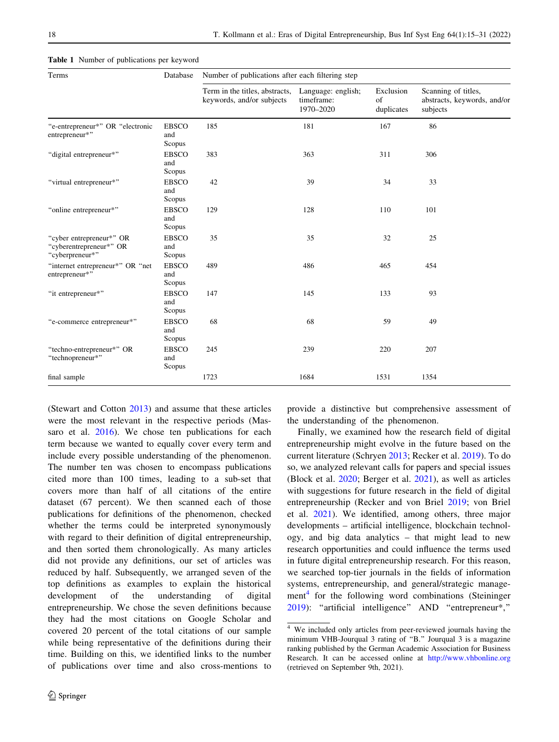| Terms                                                                  | Database                      | Number of publications after each filtering step            |                                               |                               |                                                                |  |  |
|------------------------------------------------------------------------|-------------------------------|-------------------------------------------------------------|-----------------------------------------------|-------------------------------|----------------------------------------------------------------|--|--|
|                                                                        |                               | Term in the titles, abstracts,<br>keywords, and/or subjects | Language: english;<br>timeframe:<br>1970-2020 | Exclusion<br>of<br>duplicates | Scanning of titles,<br>abstracts, keywords, and/or<br>subjects |  |  |
| "e-entrepreneur*" OR "electronic<br>entrepreneur*"                     | <b>EBSCO</b><br>and<br>Scopus | 185                                                         | 181                                           | 167                           | 86                                                             |  |  |
| "digital entrepreneur*"                                                | <b>EBSCO</b><br>and<br>Scopus | 383                                                         | 363                                           | 311                           | 306                                                            |  |  |
| "virtual entrepreneur*"                                                | <b>EBSCO</b><br>and<br>Scopus | 42                                                          | 39                                            | 34                            | 33                                                             |  |  |
| "online entrepreneur*"                                                 | <b>EBSCO</b><br>and<br>Scopus | 129                                                         | 128                                           | 110                           | 101                                                            |  |  |
| "cyber entrepreneur*" OR<br>"cyberentrepreneur*" OR<br>"cyberpreneur*" | <b>EBSCO</b><br>and<br>Scopus | 35                                                          | 35                                            | 32                            | 25                                                             |  |  |
| "internet entrepreneur*" OR "net<br>entrepreneur*"                     | <b>EBSCO</b><br>and<br>Scopus | 489                                                         | 486                                           | 465                           | 454                                                            |  |  |
| "it entrepreneur*"                                                     | <b>EBSCO</b><br>and<br>Scopus | 147                                                         | 145                                           | 133                           | 93                                                             |  |  |
| "e-commerce entrepreneur*"                                             | <b>EBSCO</b><br>and<br>Scopus | 68                                                          | 68                                            | 59                            | 49                                                             |  |  |
| "techno-entrepreneur*" OR<br>"technopreneur*"                          | <b>EBSCO</b><br>and<br>Scopus | 245                                                         | 239                                           | 220                           | 207                                                            |  |  |
| final sample                                                           |                               | 1723                                                        | 1684                                          | 1531                          | 1354                                                           |  |  |

<span id="page-3-0"></span>Table 1 Number of publications per keyword

(Stewart and Cotton [2013](#page-16-0)) and assume that these articles were the most relevant in the respective periods (Massaro et al. [2016\)](#page-15-0). We chose ten publications for each term because we wanted to equally cover every term and include every possible understanding of the phenomenon. The number ten was chosen to encompass publications cited more than 100 times, leading to a sub-set that covers more than half of all citations of the entire dataset (67 percent). We then scanned each of those publications for definitions of the phenomenon, checked whether the terms could be interpreted synonymously with regard to their definition of digital entrepreneurship, and then sorted them chronologically. As many articles did not provide any definitions, our set of articles was reduced by half. Subsequently, we arranged seven of the top definitions as examples to explain the historical development of the understanding of digital entrepreneurship. We chose the seven definitions because they had the most citations on Google Scholar and covered 20 percent of the total citations of our sample while being representative of the definitions during their time. Building on this, we identified links to the number of publications over time and also cross-mentions to provide a distinctive but comprehensive assessment of the understanding of the phenomenon.

Finally, we examined how the research field of digital entrepreneurship might evolve in the future based on the current literature (Schryen [2013](#page-16-0); Recker et al. [2019](#page-15-0)). To do so, we analyzed relevant calls for papers and special issues (Block et al. [2020;](#page-13-0) Berger et al. [2021\)](#page-13-0), as well as articles with suggestions for future research in the field of digital entrepreneurship (Recker and von Briel [2019](#page-15-0); von Briel et al. [2021\)](#page-16-0). We identified, among others, three major developments – artificial intelligence, blockchain technology, and big data analytics – that might lead to new research opportunities and could influence the terms used in future digital entrepreneurship research. For this reason, we searched top-tier journals in the fields of information systems, entrepreneurship, and general/strategic management<sup>4</sup> for the following word combinations (Steininger [2019](#page-16-0)): ''artificial intelligence'' AND ''entrepreneur\*,''

 $4\overline{ }$  We included only articles from peer-reviewed journals having the minimum VHB-Jourqual 3 rating of ''B.'' Jourqual 3 is a magazine ranking published by the German Academic Association for Business Research. It can be accessed online at <http://www.vhbonline.org> (retrieved on September 9th, 2021).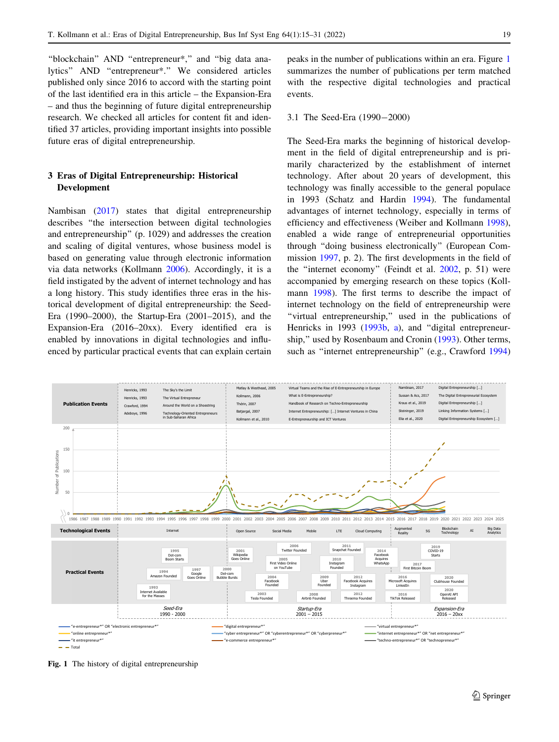<span id="page-4-0"></span>''blockchain'' AND ''entrepreneur\*,'' and ''big data analytics'' AND ''entrepreneur\*.'' We considered articles published only since 2016 to accord with the starting point of the last identified era in this article – the Expansion-Era – and thus the beginning of future digital entrepreneurship research. We checked all articles for content fit and identified 37 articles, providing important insights into possible future eras of digital entrepreneurship.

# 3 Eras of Digital Entrepreneurship: Historical Development

Nambisan [\(2017](#page-15-0)) states that digital entrepreneurship describes ''the intersection between digital technologies and entrepreneurship'' (p. 1029) and addresses the creation and scaling of digital ventures, whose business model is based on generating value through electronic information via data networks (Kollmann [2006](#page-14-0)). Accordingly, it is a field instigated by the advent of internet technology and has a long history. This study identifies three eras in the historical development of digital entrepreneurship: the Seed-Era (1990–2000), the Startup-Era (2001–2015), and the Expansion-Era (2016–20xx). Every identified era is enabled by innovations in digital technologies and influenced by particular practical events that can explain certain peaks in the number of publications within an era. Figure 1 summarizes the number of publications per term matched with the respective digital technologies and practical events.

## 3.1 The Seed-Era (1990-2000)

The Seed-Era marks the beginning of historical development in the field of digital entrepreneurship and is primarily characterized by the establishment of internet technology. After about 20 years of development, this technology was finally accessible to the general populace in 1993 (Schatz and Hardin [1994](#page-16-0)). The fundamental advantages of internet technology, especially in terms of efficiency and effectiveness (Weiber and Kollmann [1998](#page-16-0)), enabled a wide range of entrepreneurial opportunities through ''doing business electronically'' (European Commission [1997,](#page-14-0) p. 2). The first developments in the field of the ''internet economy'' (Feindt et al. [2002,](#page-14-0) p. 51) were accompanied by emerging research on these topics (Kollmann [1998\)](#page-14-0). The first terms to describe the impact of internet technology on the field of entrepreneurship were ''virtual entrepreneurship,'' used in the publications of Henricks in 1993 ([1993b,](#page-14-0) [a](#page-14-0)), and "digital entrepreneurship,'' used by Rosenbaum and Cronin [\(1993](#page-16-0)). Other terms, such as ''internet entrepreneurship'' (e.g., Crawford [1994\)](#page-14-0)



Fig. 1 The history of digital entrepreneurship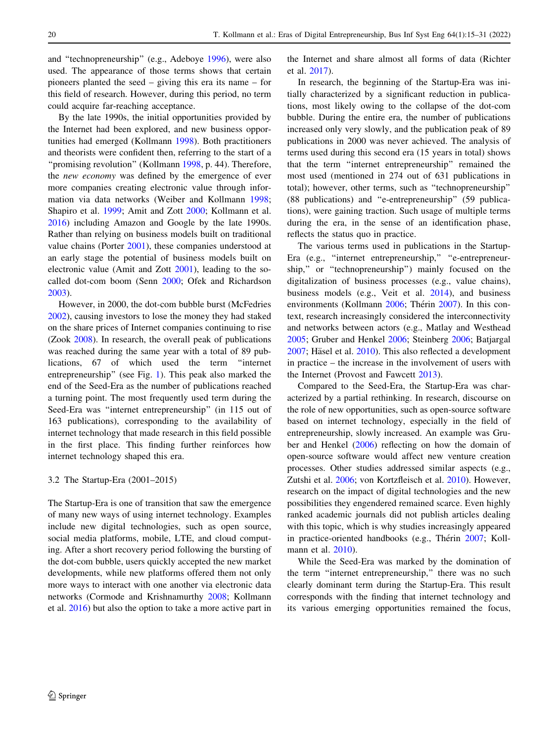and ''technopreneurship'' (e.g., Adeboye [1996\)](#page-13-0), were also used. The appearance of those terms shows that certain pioneers planted the seed – giving this era its name – for this field of research. However, during this period, no term could acquire far-reaching acceptance.

By the late 1990s, the initial opportunities provided by the Internet had been explored, and new business opportunities had emerged (Kollmann [1998\)](#page-14-0). Both practitioners and theorists were confident then, referring to the start of a "promising revolution" (Kollmann [1998](#page-14-0), p. 44). Therefore, the new economy was defined by the emergence of ever more companies creating electronic value through information via data networks (Weiber and Kollmann [1998](#page-16-0); Shapiro et al. [1999;](#page-16-0) Amit and Zott [2000;](#page-13-0) Kollmann et al. [2016\)](#page-14-0) including Amazon and Google by the late 1990s. Rather than relying on business models built on traditional value chains (Porter [2001\)](#page-15-0), these companies understood at an early stage the potential of business models built on electronic value (Amit and Zott [2001](#page-13-0)), leading to the socalled dot-com boom (Senn [2000;](#page-16-0) Ofek and Richardson [2003\)](#page-15-0).

However, in 2000, the dot-com bubble burst (McFedries [2002\)](#page-15-0), causing investors to lose the money they had staked on the share prices of Internet companies continuing to rise (Zook [2008\)](#page-16-0). In research, the overall peak of publications was reached during the same year with a total of 89 publications, 67 of which used the term ''internet entrepreneurship'' (see Fig. [1\)](#page-4-0). This peak also marked the end of the Seed-Era as the number of publications reached a turning point. The most frequently used term during the Seed-Era was ''internet entrepreneurship'' (in 115 out of 163 publications), corresponding to the availability of internet technology that made research in this field possible in the first place. This finding further reinforces how internet technology shaped this era.

## 3.2 The Startup-Era (2001–2015)

The Startup-Era is one of transition that saw the emergence of many new ways of using internet technology. Examples include new digital technologies, such as open source, social media platforms, mobile, LTE, and cloud computing. After a short recovery period following the bursting of the dot-com bubble, users quickly accepted the new market developments, while new platforms offered them not only more ways to interact with one another via electronic data networks (Cormode and Krishnamurthy [2008;](#page-14-0) Kollmann et al. [2016](#page-14-0)) but also the option to take a more active part in

the Internet and share almost all forms of data (Richter et al. [2017\)](#page-15-0).

In research, the beginning of the Startup-Era was initially characterized by a significant reduction in publications, most likely owing to the collapse of the dot-com bubble. During the entire era, the number of publications increased only very slowly, and the publication peak of 89 publications in 2000 was never achieved. The analysis of terms used during this second era (15 years in total) shows that the term ''internet entrepreneurship'' remained the most used (mentioned in 274 out of 631 publications in total); however, other terms, such as ''technopreneurship'' (88 publications) and ''e-entrepreneurship'' (59 publications), were gaining traction. Such usage of multiple terms during the era, in the sense of an identification phase, reflects the status quo in practice.

The various terms used in publications in the Startup-Era (e.g., "internet entrepreneurship," "e-entrepreneurship,'' or ''technopreneurship'') mainly focused on the digitalization of business processes (e.g., value chains), business models (e.g., Veit et al. [2014](#page-16-0)), and business environments (Kollmann [2006;](#page-14-0) Thérin [2007](#page-16-0)). In this context, research increasingly considered the interconnectivity and networks between actors (e.g., Matlay and Westhead [2005](#page-15-0); Gruber and Henkel [2006;](#page-14-0) Steinberg [2006](#page-16-0); Batjargal  $2007$ ; Häsel et al.  $2010$ ). This also reflected a development in practice – the increase in the involvement of users with the Internet (Provost and Fawcett [2013](#page-15-0)).

Compared to the Seed-Era, the Startup-Era was characterized by a partial rethinking. In research, discourse on the role of new opportunities, such as open-source software based on internet technology, especially in the field of entrepreneurship, slowly increased. An example was Gruber and Henkel ([2006\)](#page-14-0) reflecting on how the domain of open-source software would affect new venture creation processes. Other studies addressed similar aspects (e.g., Zutshi et al. [2006;](#page-16-0) von Kortzfleisch et al. [2010](#page-16-0)). However, research on the impact of digital technologies and the new possibilities they engendered remained scarce. Even highly ranked academic journals did not publish articles dealing with this topic, which is why studies increasingly appeared in practice-oriented handbooks (e.g., Thérin [2007;](#page-16-0) Kollmann et al. [2010](#page-14-0)).

While the Seed-Era was marked by the domination of the term "internet entrepreneurship," there was no such clearly dominant term during the Startup-Era. This result corresponds with the finding that internet technology and its various emerging opportunities remained the focus,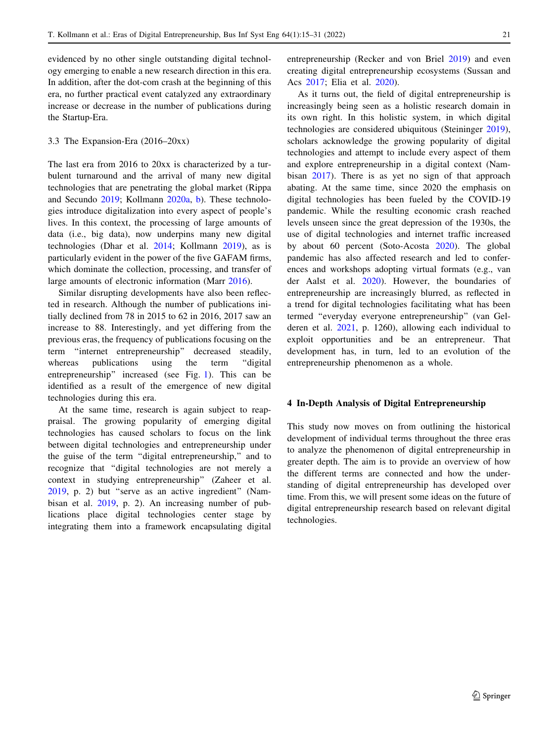evidenced by no other single outstanding digital technology emerging to enable a new research direction in this era. In addition, after the dot-com crash at the beginning of this era, no further practical event catalyzed any extraordinary increase or decrease in the number of publications during the Startup-Era.

#### 3.3 The Expansion-Era (2016–20xx)

The last era from 2016 to 20xx is characterized by a turbulent turnaround and the arrival of many new digital technologies that are penetrating the global market (Rippa and Secundo [2019;](#page-15-0) Kollmann [2020a,](#page-14-0) [b\)](#page-14-0). These technologies introduce digitalization into every aspect of people's lives. In this context, the processing of large amounts of data (i.e., big data), now underpins many new digital technologies (Dhar et al. [2014;](#page-14-0) Kollmann [2019](#page-14-0)), as is particularly evident in the power of the five GAFAM firms, which dominate the collection, processing, and transfer of large amounts of electronic information (Marr [2016](#page-15-0)).

Similar disrupting developments have also been reflected in research. Although the number of publications initially declined from 78 in 2015 to 62 in 2016, 2017 saw an increase to 88. Interestingly, and yet differing from the previous eras, the frequency of publications focusing on the term ''internet entrepreneurship'' decreased steadily, whereas publications using the term "digital" entrepreneurship'' increased (see Fig. [1](#page-4-0)). This can be identified as a result of the emergence of new digital technologies during this era.

At the same time, research is again subject to reappraisal. The growing popularity of emerging digital technologies has caused scholars to focus on the link between digital technologies and entrepreneurship under the guise of the term ''digital entrepreneurship,'' and to recognize that ''digital technologies are not merely a context in studying entrepreneurship'' (Zaheer et al. [2019,](#page-16-0) p. 2) but ''serve as an active ingredient'' (Nambisan et al. [2019,](#page-15-0) p. 2). An increasing number of publications place digital technologies center stage by integrating them into a framework encapsulating digital entrepreneurship (Recker and von Briel [2019](#page-15-0)) and even creating digital entrepreneurship ecosystems (Sussan and Acs [2017](#page-16-0); Elia et al. [2020](#page-14-0)).

As it turns out, the field of digital entrepreneurship is increasingly being seen as a holistic research domain in its own right. In this holistic system, in which digital technologies are considered ubiquitous (Steininger [2019](#page-16-0)), scholars acknowledge the growing popularity of digital technologies and attempt to include every aspect of them and explore entrepreneurship in a digital context (Nambisan [2017\)](#page-15-0). There is as yet no sign of that approach abating. At the same time, since 2020 the emphasis on digital technologies has been fueled by the COVID-19 pandemic. While the resulting economic crash reached levels unseen since the great depression of the 1930s, the use of digital technologies and internet traffic increased by about 60 percent (Soto-Acosta [2020](#page-16-0)). The global pandemic has also affected research and led to conferences and workshops adopting virtual formats (e.g., van der Aalst et al. [2020\)](#page-16-0). However, the boundaries of entrepreneurship are increasingly blurred, as reflected in a trend for digital technologies facilitating what has been termed ''everyday everyone entrepreneurship'' (van Gelderen et al. [2021](#page-16-0), p. 1260), allowing each individual to exploit opportunities and be an entrepreneur. That development has, in turn, led to an evolution of the entrepreneurship phenomenon as a whole.

## 4 In-Depth Analysis of Digital Entrepreneurship

This study now moves on from outlining the historical development of individual terms throughout the three eras to analyze the phenomenon of digital entrepreneurship in greater depth. The aim is to provide an overview of how the different terms are connected and how the understanding of digital entrepreneurship has developed over time. From this, we will present some ideas on the future of digital entrepreneurship research based on relevant digital technologies.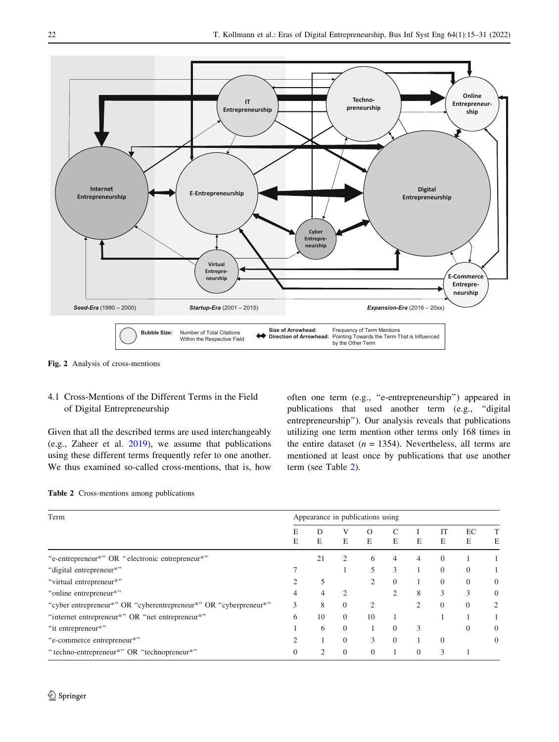<span id="page-7-0"></span>

Fig. 2 Analysis of cross-mentions

# 4.1 Cross-Mentions of the Different Terms in the Field of Digital Entrepreneurship

Given that all the described terms are used interchangeably (e.g., Zaheer et al. [2019](#page-16-0)), we assume that publications using these different terms frequently refer to one another. We thus examined so-called cross-mentions, that is, how often one term (e.g., ''e-entrepreneurship'') appeared in publications that used another term (e.g., ''digital entrepreneurship''). Our analysis reveals that publications utilizing one term mention other terms only 168 times in the entire dataset ( $n = 1354$ ). Nevertheless, all terms are mentioned at least once by publications that use another term (see Table 2).

| <b>Table 2</b> Cross-mentions among publications |  |
|--------------------------------------------------|--|
|--------------------------------------------------|--|

| Term                                                             | Appearance in publications using |        |                |                |                |          |          |          |              |
|------------------------------------------------------------------|----------------------------------|--------|----------------|----------------|----------------|----------|----------|----------|--------------|
|                                                                  | E                                | D<br>E | E              | Ω<br>E         | E              | E        | IT<br>E  | EC<br>E  | Е            |
| "e-entrepreneur*" OR "electronic entrepreneur*"                  |                                  | 21     | 2              | 6              | 4              | 4        | $\Omega$ |          |              |
| "digital entrepreneur*"                                          |                                  |        |                |                | 3              |          | $\Omega$ | $\Omega$ |              |
| "virtual entrepreneur*"                                          |                                  |        |                | $\mathfrak{D}$ | $\overline{0}$ |          | $\Omega$ | $\Omega$ | $\mathbf{0}$ |
| "online entrepreneur*"                                           | 4                                | 4      | $\overline{c}$ |                | $\mathfrak{D}$ | 8        | 3        | 3        | $\mathbf{0}$ |
| "cyber entrepreneur*" OR "cyberentrepreneur*" OR "cyberpreneur*" |                                  | 8      | $\Omega$       | C              |                |          | $\Omega$ | $\Omega$ |              |
| "internet entrepreneur*" OR "net entrepreneur*"                  |                                  | 10     | $\Omega$       | 10             |                |          |          |          |              |
| "it entrepreneur*"                                               |                                  | 6      | $\Omega$       |                | $\Omega$       | 3        |          | $\Omega$ | $\mathbf{0}$ |
| "e-commerce entrepreneur*"                                       |                                  |        | $\overline{0}$ | 3              | $\overline{0}$ |          | $\Omega$ |          |              |
| "techno-entrepreneur*" OR "technopreneur*"                       |                                  | っ      | $\Omega$       | $\Omega$       |                | $\Omega$ |          |          |              |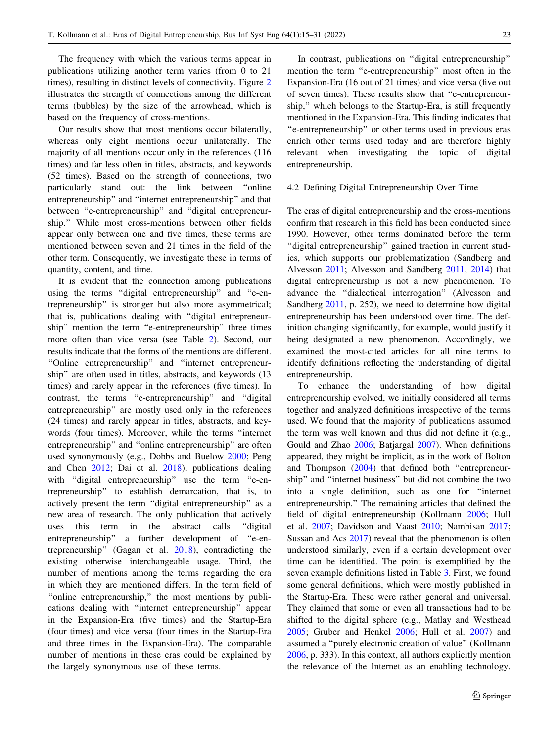The frequency with which the various terms appear in publications utilizing another term varies (from 0 to 21 times), resulting in distinct levels of connectivity. Figure [2](#page-7-0) illustrates the strength of connections among the different terms (bubbles) by the size of the arrowhead, which is based on the frequency of cross-mentions.

Our results show that most mentions occur bilaterally, whereas only eight mentions occur unilaterally. The majority of all mentions occur only in the references (116 times) and far less often in titles, abstracts, and keywords (52 times). Based on the strength of connections, two particularly stand out: the link between ''online entrepreneurship'' and ''internet entrepreneurship'' and that between "e-entrepreneurship" and "digital entrepreneurship.'' While most cross-mentions between other fields appear only between one and five times, these terms are mentioned between seven and 21 times in the field of the other term. Consequently, we investigate these in terms of quantity, content, and time.

It is evident that the connection among publications using the terms ''digital entrepreneurship'' and ''e-entrepreneurship'' is stronger but also more asymmetrical; that is, publications dealing with ''digital entrepreneurship'' mention the term ''e-entrepreneurship'' three times more often than vice versa (see Table [2\)](#page-7-0). Second, our results indicate that the forms of the mentions are different. ''Online entrepreneurship'' and ''internet entrepreneurship'' are often used in titles, abstracts, and keywords (13 times) and rarely appear in the references (five times). In contrast, the terms ''e-entrepreneurship'' and ''digital entrepreneurship'' are mostly used only in the references (24 times) and rarely appear in titles, abstracts, and keywords (four times). Moreover, while the terms ''internet entrepreneurship'' and ''online entrepreneurship'' are often used synonymously (e.g., Dobbs and Buelow [2000](#page-14-0); Peng and Chen [2012;](#page-15-0) Dai et al. [2018\)](#page-14-0), publications dealing with "digital entrepreneurship" use the term "e-entrepreneurship'' to establish demarcation, that is, to actively present the term ''digital entrepreneurship'' as a new area of research. The only publication that actively uses this term in the abstract calls ''digital entrepreneurship'' a further development of ''e-entrepreneurship'' (Gagan et al. [2018\)](#page-14-0), contradicting the existing otherwise interchangeable usage. Third, the number of mentions among the terms regarding the era in which they are mentioned differs. In the term field of "online entrepreneurship," the most mentions by publications dealing with ''internet entrepreneurship'' appear in the Expansion-Era (five times) and the Startup-Era (four times) and vice versa (four times in the Startup-Era and three times in the Expansion-Era). The comparable number of mentions in these eras could be explained by the largely synonymous use of these terms.

In contrast, publications on ''digital entrepreneurship'' mention the term ''e-entrepreneurship'' most often in the Expansion-Era (16 out of 21 times) and vice versa (five out of seven times). These results show that ''e-entrepreneurship,'' which belongs to the Startup-Era, is still frequently mentioned in the Expansion-Era. This finding indicates that ''e-entrepreneurship'' or other terms used in previous eras enrich other terms used today and are therefore highly relevant when investigating the topic of digital entrepreneurship.

## 4.2 Defining Digital Entrepreneurship Over Time

The eras of digital entrepreneurship and the cross-mentions confirm that research in this field has been conducted since 1990. However, other terms dominated before the term "digital entrepreneurship" gained traction in current studies, which supports our problematization (Sandberg and Alvesson [2011](#page-16-0); Alvesson and Sandberg [2011](#page-13-0), [2014\)](#page-13-0) that digital entrepreneurship is not a new phenomenon. To advance the ''dialectical interrogation'' (Alvesson and Sandberg [2011,](#page-13-0) p. 252), we need to determine how digital entrepreneurship has been understood over time. The definition changing significantly, for example, would justify it being designated a new phenomenon. Accordingly, we examined the most-cited articles for all nine terms to identify definitions reflecting the understanding of digital entrepreneurship.

To enhance the understanding of how digital entrepreneurship evolved, we initially considered all terms together and analyzed definitions irrespective of the terms used. We found that the majority of publications assumed the term was well known and thus did not define it (e.g., Gould and Zhao [2006;](#page-14-0) Batjargal [2007\)](#page-13-0). When definitions appeared, they might be implicit, as in the work of Bolton and Thompson ([2004](#page-13-0)) that defined both ''entrepreneurship'' and ''internet business'' but did not combine the two into a single definition, such as one for ''internet entrepreneurship.'' The remaining articles that defined the field of digital entrepreneurship (Kollmann [2006;](#page-14-0) Hull et al. [2007](#page-14-0); Davidson and Vaast [2010;](#page-14-0) Nambisan [2017](#page-15-0); Sussan and Acs [2017\)](#page-16-0) reveal that the phenomenon is often understood similarly, even if a certain development over time can be identified. The point is exemplified by the seven example definitions listed in Table [3](#page-9-0). First, we found some general definitions, which were mostly published in the Startup-Era. These were rather general and universal. They claimed that some or even all transactions had to be shifted to the digital sphere (e.g., Matlay and Westhead [2005](#page-15-0); Gruber and Henkel [2006;](#page-14-0) Hull et al. [2007](#page-14-0)) and assumed a ''purely electronic creation of value'' (Kollmann [2006](#page-14-0), p. 333). In this context, all authors explicitly mention the relevance of the Internet as an enabling technology.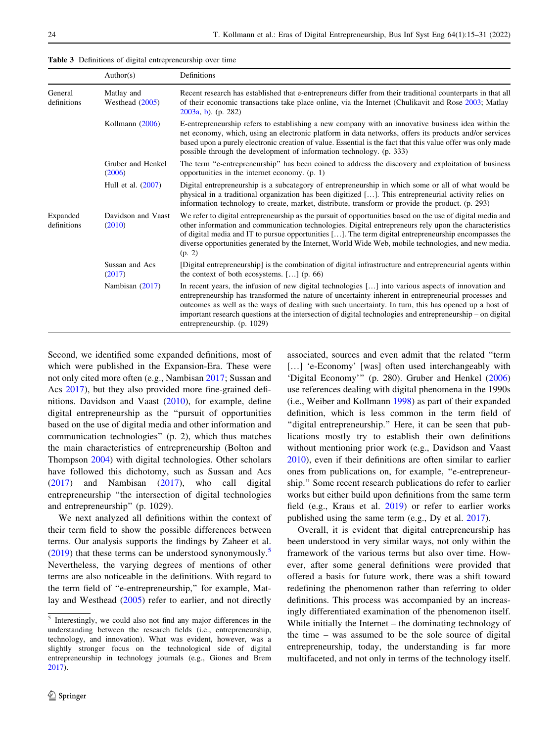<span id="page-9-0"></span>Table 3 Definitions of digital entrepreneurship over time

|                         | Author(s)                       | Definitions                                                                                                                                                                                                                                                                                                                                                                                                                                                      |  |  |  |
|-------------------------|---------------------------------|------------------------------------------------------------------------------------------------------------------------------------------------------------------------------------------------------------------------------------------------------------------------------------------------------------------------------------------------------------------------------------------------------------------------------------------------------------------|--|--|--|
| General<br>definitions  | Matlay and<br>Westhead $(2005)$ | Recent research has established that e-entrepreneurs differ from their traditional counterparts in that all<br>of their economic transactions take place online, via the Internet (Chulikavit and Rose 2003; Matlay<br>$2003a, b)$ . (p. 282)                                                                                                                                                                                                                    |  |  |  |
|                         | Kollmann (2006)                 | E-entrepreneurship refers to establishing a new company with an innovative business idea within the<br>net economy, which, using an electronic platform in data networks, offers its products and/or services<br>based upon a purely electronic creation of value. Essential is the fact that this value offer was only made<br>possible through the development of information technology. (p. 333)                                                             |  |  |  |
|                         | Gruber and Henkel<br>(2006)     | The term "e-entrepreneurship" has been coined to address the discovery and exploitation of business<br>opportunities in the internet economy. $(p, 1)$                                                                                                                                                                                                                                                                                                           |  |  |  |
|                         | Hull et al. (2007)              | Digital entrepreneurship is a subcategory of entrepreneurship in which some or all of what would be<br>physical in a traditional organization has been digitized []. This entrepreneurial activity relies on<br>information technology to create, market, distribute, transform or provide the product. (p. 293)                                                                                                                                                 |  |  |  |
| Expanded<br>definitions | Davidson and Vaast<br>(2010)    | We refer to digital entrepreneurship as the pursuit of opportunities based on the use of digital media and<br>other information and communication technologies. Digital entrepreneurs rely upon the characteristics<br>of digital media and IT to pursue opportunities []. The term digital entrepreneurship encompasses the<br>diverse opportunities generated by the Internet, World Wide Web, mobile technologies, and new media.<br>(p. 2)                   |  |  |  |
|                         | Sussan and Acs<br>(2017)        | [Digital entrepreneurship] is the combination of digital infrastructure and entrepreneurial agents within<br>the context of both ecosystems. [] (p. 66)                                                                                                                                                                                                                                                                                                          |  |  |  |
|                         | Nambisan (2017)                 | In recent years, the infusion of new digital technologies [] into various aspects of innovation and<br>entrepreneurship has transformed the nature of uncertainty inherent in entrepreneurial processes and<br>outcomes as well as the ways of dealing with such uncertainty. In turn, this has opened up a host of<br>important research questions at the intersection of digital technologies and entrepreneurship – on digital<br>entrepreneurship. (p. 1029) |  |  |  |

Second, we identified some expanded definitions, most of which were published in the Expansion-Era. These were not only cited more often (e.g., Nambisan [2017;](#page-15-0) Sussan and Acs [2017\)](#page-16-0), but they also provided more fine-grained definitions. Davidson and Vaast [\(2010](#page-14-0)), for example, define digital entrepreneurship as the ''pursuit of opportunities based on the use of digital media and other information and communication technologies'' (p. 2), which thus matches the main characteristics of entrepreneurship (Bolton and Thompson [2004](#page-13-0)) with digital technologies. Other scholars have followed this dichotomy, such as Sussan and Acs [\(2017](#page-16-0)) and Nambisan ([2017\)](#page-15-0), who call digital entrepreneurship ''the intersection of digital technologies and entrepreneurship'' (p. 1029).

We next analyzed all definitions within the context of their term field to show the possible differences between terms. Our analysis supports the findings by Zaheer et al.  $(2019)$  $(2019)$  that these terms can be understood synonymously.<sup>5</sup> Nevertheless, the varying degrees of mentions of other terms are also noticeable in the definitions. With regard to the term field of ''e-entrepreneurship,'' for example, Matlay and Westhead [\(2005](#page-15-0)) refer to earlier, and not directly

associated, sources and even admit that the related ''term [...] 'e-Economy' [was] often used interchangeably with 'Digital Economy''' (p. 280). Gruber and Henkel ([2006\)](#page-14-0) use references dealing with digital phenomena in the 1990s (i.e., Weiber and Kollmann [1998\)](#page-16-0) as part of their expanded definition, which is less common in the term field of "digital entrepreneurship." Here, it can be seen that publications mostly try to establish their own definitions without mentioning prior work (e.g., Davidson and Vaast [2010](#page-14-0)), even if their definitions are often similar to earlier ones from publications on, for example, ''e-entrepreneurship.'' Some recent research publications do refer to earlier works but either build upon definitions from the same term field (e.g., Kraus et al. [2019](#page-15-0)) or refer to earlier works published using the same term (e.g., Dy et al. [2017](#page-14-0)).

Overall, it is evident that digital entrepreneurship has been understood in very similar ways, not only within the framework of the various terms but also over time. However, after some general definitions were provided that offered a basis for future work, there was a shift toward redefining the phenomenon rather than referring to older definitions. This process was accompanied by an increasingly differentiated examination of the phenomenon itself. While initially the Internet – the dominating technology of the time – was assumed to be the sole source of digital entrepreneurship, today, the understanding is far more multifaceted, and not only in terms of the technology itself.

<sup>5</sup> Interestingly, we could also not find any major differences in the understanding between the research fields (i.e., entrepreneurship, technology, and innovation). What was evident, however, was a slightly stronger focus on the technological side of digital entrepreneurship in technology journals (e.g., Giones and Brem [2017\)](#page-14-0).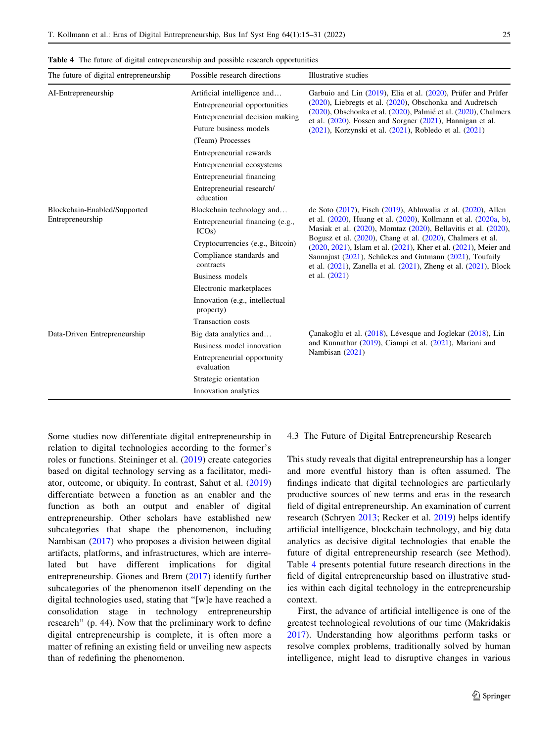| The future of digital entrepreneurship           | Possible research directions                                                                                                                                                                                                                                     | Illustrative studies                                                                                                                                                                                                                                                                                                                                                                                                                                                                                                            |
|--------------------------------------------------|------------------------------------------------------------------------------------------------------------------------------------------------------------------------------------------------------------------------------------------------------------------|---------------------------------------------------------------------------------------------------------------------------------------------------------------------------------------------------------------------------------------------------------------------------------------------------------------------------------------------------------------------------------------------------------------------------------------------------------------------------------------------------------------------------------|
| AI-Entrepreneurship                              | Artificial intelligence and<br>Entrepreneurial opportunities<br>Entrepreneurial decision making<br>Future business models<br>(Team) Processes<br>Entrepreneurial rewards<br>Entrepreneurial ecosystems<br>Entrepreneurial financing<br>Entrepreneurial research/ | Garbuio and Lin (2019), Elia et al. (2020), Prüfer and Prüfer<br>$(2020)$ , Liebregts et al. $(2020)$ , Obschonka and Audretsch<br>(2020), Obschonka et al. (2020), Palmié et al. (2020), Chalmers<br>et al. $(2020)$ , Fossen and Sorgner $(2021)$ , Hannigan et al.<br>$(2021)$ , Korzynski et al. $(2021)$ , Robledo et al. $(2021)$                                                                                                                                                                                         |
| Blockchain-Enabled/Supported<br>Entrepreneurship | education<br>Blockchain technology and<br>Entrepreneurial financing (e.g.,<br>$ICOs$ )<br>Cryptocurrencies (e.g., Bitcoin)<br>Compliance standards and<br>contracts<br>Business models<br>Electronic marketplaces<br>Innovation (e.g., intellectual<br>property) | de Soto $(2017)$ , Fisch $(2019)$ , Ahluwalia et al. $(2020)$ , Allen<br>et al. $(2020)$ , Huang et al. $(2020)$ , Kollmann et al. $(2020a, b)$ ,<br>Masiak et al. $(2020)$ , Momtaz $(2020)$ , Bellavitis et al. $(2020)$ ,<br>Bogusz et al. $(2020)$ , Chang et al. $(2020)$ , Chalmers et al.<br>(2020, 2021), Islam et al. (2021), Kher et al. (2021), Meier and<br>Sannajust (2021), Schückes and Gutmann (2021), Toufaily<br>et al. $(2021)$ , Zanella et al. $(2021)$ , Zheng et al. $(2021)$ , Block<br>et al. $(2021)$ |
| Data-Driven Entrepreneurship                     | <b>Transaction</b> costs<br>Big data analytics and<br>Business model innovation<br>Entrepreneurial opportunity<br>evaluation<br>Strategic orientation<br>Innovation analytics                                                                                    | Canakoğlu et al. (2018), Lévesque and Joglekar (2018), Lin<br>and Kunnathur (2019), Ciampi et al. (2021), Mariani and<br>Nambisan (2021)                                                                                                                                                                                                                                                                                                                                                                                        |

Table 4 The future of digital entrepreneurship and possible research opportunities

Some studies now differentiate digital entrepreneurship in relation to digital technologies according to the former's roles or functions. Steininger et al. ([2019\)](#page-16-0) create categories based on digital technology serving as a facilitator, mediator, outcome, or ubiquity. In contrast, Sahut et al. ([2019\)](#page-16-0) differentiate between a function as an enabler and the function as both an output and enabler of digital entrepreneurship. Other scholars have established new subcategories that shape the phenomenon, including Nambisan [\(2017](#page-15-0)) who proposes a division between digital artifacts, platforms, and infrastructures, which are interrelated but have different implications for digital entrepreneurship. Giones and Brem [\(2017](#page-14-0)) identify further subcategories of the phenomenon itself depending on the digital technologies used, stating that ''[w]e have reached a consolidation stage in technology entrepreneurship research'' (p. 44). Now that the preliminary work to define digital entrepreneurship is complete, it is often more a matter of refining an existing field or unveiling new aspects than of redefining the phenomenon.

#### 4.3 The Future of Digital Entrepreneurship Research

This study reveals that digital entrepreneurship has a longer and more eventful history than is often assumed. The findings indicate that digital technologies are particularly productive sources of new terms and eras in the research field of digital entrepreneurship. An examination of current research (Schryen [2013;](#page-16-0) Recker et al. [2019](#page-15-0)) helps identify artificial intelligence, blockchain technology, and big data analytics as decisive digital technologies that enable the future of digital entrepreneurship research (see Method). Table 4 presents potential future research directions in the field of digital entrepreneurship based on illustrative studies within each digital technology in the entrepreneurship context.

First, the advance of artificial intelligence is one of the greatest technological revolutions of our time (Makridakis [2017](#page-15-0)). Understanding how algorithms perform tasks or resolve complex problems, traditionally solved by human intelligence, might lead to disruptive changes in various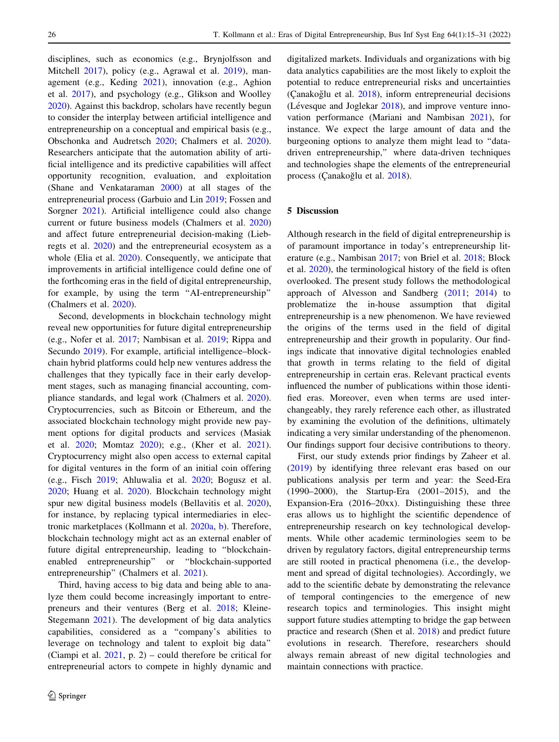disciplines, such as economics (e.g., Brynjolfsson and Mitchell [2017](#page-13-0)), policy (e.g., Agrawal et al. [2019](#page-13-0)), management (e.g., Keding [2021](#page-14-0)), innovation (e.g., Aghion et al. [2017](#page-13-0)), and psychology (e.g., Glikson and Woolley [2020\)](#page-14-0). Against this backdrop, scholars have recently begun to consider the interplay between artificial intelligence and entrepreneurship on a conceptual and empirical basis (e.g., Obschonka and Audretsch [2020;](#page-15-0) Chalmers et al. [2020](#page-13-0)). Researchers anticipate that the automation ability of artificial intelligence and its predictive capabilities will affect opportunity recognition, evaluation, and exploitation (Shane and Venkataraman [2000](#page-16-0)) at all stages of the entrepreneurial process (Garbuio and Lin [2019](#page-14-0); Fossen and Sorgner [2021\)](#page-14-0). Artificial intelligence could also change current or future business models (Chalmers et al. [2020\)](#page-13-0) and affect future entrepreneurial decision-making (Liebregts et al. [2020\)](#page-15-0) and the entrepreneurial ecosystem as a whole (Elia et al. [2020\)](#page-14-0). Consequently, we anticipate that improvements in artificial intelligence could define one of the forthcoming eras in the field of digital entrepreneurship, for example, by using the term ''AI-entrepreneurship'' (Chalmers et al. [2020\)](#page-13-0).

Second, developments in blockchain technology might reveal new opportunities for future digital entrepreneurship (e.g., Nofer et al. [2017;](#page-15-0) Nambisan et al. [2019;](#page-15-0) Rippa and Secundo [2019\)](#page-15-0). For example, artificial intelligence–blockchain hybrid platforms could help new ventures address the challenges that they typically face in their early development stages, such as managing financial accounting, compliance standards, and legal work (Chalmers et al. [2020](#page-13-0)). Cryptocurrencies, such as Bitcoin or Ethereum, and the associated blockchain technology might provide new payment options for digital products and services (Masiak et al. [2020](#page-15-0); Momtaz [2020\)](#page-15-0); e.g., (Kher et al. [2021](#page-14-0)). Cryptocurrency might also open access to external capital for digital ventures in the form of an initial coin offering (e.g., Fisch [2019;](#page-14-0) Ahluwalia et al. [2020](#page-13-0); Bogusz et al. [2020;](#page-13-0) Huang et al. [2020\)](#page-14-0). Blockchain technology might spur new digital business models (Bellavitis et al. [2020](#page-13-0)), for instance, by replacing typical intermediaries in electronic marketplaces (Kollmann et al. [2020a,](#page-14-0) [b](#page-14-0)). Therefore, blockchain technology might act as an external enabler of future digital entrepreneurship, leading to ''blockchainenabled entrepreneurship'' or ''blockchain-supported entrepreneurship" (Chalmers et al. [2021\)](#page-13-0).

Third, having access to big data and being able to analyze them could become increasingly important to entrepreneurs and their ventures (Berg et al. [2018;](#page-13-0) Kleine-Stegemann [2021](#page-14-0)). The development of big data analytics capabilities, considered as a ''company's abilities to leverage on technology and talent to exploit big data'' (Ciampi et al. [2021](#page-13-0), p. 2) – could therefore be critical for entrepreneurial actors to compete in highly dynamic and digitalized markets. Individuals and organizations with big data analytics capabilities are the most likely to exploit the potential to reduce entrepreneurial risks and uncertainties  $(Canakožlu et al. 2018)$  $(Canakožlu et al. 2018)$ , inform entrepreneurial decisions (Lévesque and Joglekar  $2018$ ), and improve venture innovation performance (Mariani and Nambisan [2021\)](#page-15-0), for instance. We expect the large amount of data and the burgeoning options to analyze them might lead to ''datadriven entrepreneurship,'' where data-driven techniques and technologies shape the elements of the entrepreneurial process (Çanakoğlu et al. [2018](#page-13-0)).

## 5 Discussion

Although research in the field of digital entrepreneurship is of paramount importance in today's entrepreneurship literature (e.g., Nambisan [2017](#page-15-0); von Briel et al. [2018](#page-16-0); Block et al. [2020](#page-13-0)), the terminological history of the field is often overlooked. The present study follows the methodological approach of Alvesson and Sandberg [\(2011](#page-13-0); [2014](#page-13-0)) to problematize the in-house assumption that digital entrepreneurship is a new phenomenon. We have reviewed the origins of the terms used in the field of digital entrepreneurship and their growth in popularity. Our findings indicate that innovative digital technologies enabled that growth in terms relating to the field of digital entrepreneurship in certain eras. Relevant practical events influenced the number of publications within those identified eras. Moreover, even when terms are used interchangeably, they rarely reference each other, as illustrated by examining the evolution of the definitions, ultimately indicating a very similar understanding of the phenomenon. Our findings support four decisive contributions to theory.

First, our study extends prior findings by Zaheer et al. [\(2019](#page-16-0)) by identifying three relevant eras based on our publications analysis per term and year: the Seed-Era (1990–2000), the Startup-Era (2001–2015), and the Expansion-Era (2016–20xx). Distinguishing these three eras allows us to highlight the scientific dependence of entrepreneurship research on key technological developments. While other academic terminologies seem to be driven by regulatory factors, digital entrepreneurship terms are still rooted in practical phenomena (i.e., the development and spread of digital technologies). Accordingly, we add to the scientific debate by demonstrating the relevance of temporal contingencies to the emergence of new research topics and terminologies. This insight might support future studies attempting to bridge the gap between practice and research (Shen et al. [2018](#page-16-0)) and predict future evolutions in research. Therefore, researchers should always remain abreast of new digital technologies and maintain connections with practice.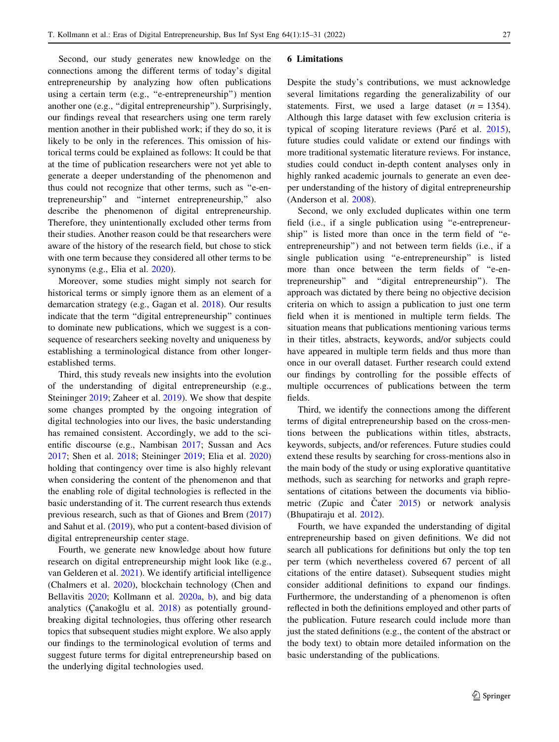Second, our study generates new knowledge on the connections among the different terms of today's digital entrepreneurship by analyzing how often publications using a certain term (e.g., ''e-entrepreneurship'') mention another one (e.g., ''digital entrepreneurship''). Surprisingly, our findings reveal that researchers using one term rarely mention another in their published work; if they do so, it is likely to be only in the references. This omission of historical terms could be explained as follows: It could be that at the time of publication researchers were not yet able to generate a deeper understanding of the phenomenon and thus could not recognize that other terms, such as ''e-entrepreneurship'' and ''internet entrepreneurship,'' also describe the phenomenon of digital entrepreneurship. Therefore, they unintentionally excluded other terms from their studies. Another reason could be that researchers were aware of the history of the research field, but chose to stick with one term because they considered all other terms to be synonyms (e.g., Elia et al. [2020\)](#page-14-0).

Moreover, some studies might simply not search for historical terms or simply ignore them as an element of a demarcation strategy (e.g., Gagan et al. [2018](#page-14-0)). Our results indicate that the term ''digital entrepreneurship'' continues to dominate new publications, which we suggest is a consequence of researchers seeking novelty and uniqueness by establishing a terminological distance from other longerestablished terms.

Third, this study reveals new insights into the evolution of the understanding of digital entrepreneurship (e.g., Steininger [2019;](#page-16-0) Zaheer et al. [2019\)](#page-16-0). We show that despite some changes prompted by the ongoing integration of digital technologies into our lives, the basic understanding has remained consistent. Accordingly, we add to the scientific discourse (e.g., Nambisan [2017](#page-15-0); Sussan and Acs [2017;](#page-16-0) Shen et al. [2018;](#page-16-0) Steininger [2019;](#page-16-0) Elia et al. [2020\)](#page-14-0) holding that contingency over time is also highly relevant when considering the content of the phenomenon and that the enabling role of digital technologies is reflected in the basic understanding of it. The current research thus extends previous research, such as that of Giones and Brem ([2017\)](#page-14-0) and Sahut et al. [\(2019](#page-16-0)), who put a content-based division of digital entrepreneurship center stage.

Fourth, we generate new knowledge about how future research on digital entrepreneurship might look like (e.g., van Gelderen et al. [2021](#page-16-0)). We identify artificial intelligence (Chalmers et al. [2020\)](#page-13-0), blockchain technology (Chen and Bellavitis [2020;](#page-13-0) Kollmann et al. [2020a,](#page-14-0) [b\)](#page-14-0), and big data analytics (Canakoğlu et al.  $2018$ ) as potentially groundbreaking digital technologies, thus offering other research topics that subsequent studies might explore. We also apply our findings to the terminological evolution of terms and suggest future terms for digital entrepreneurship based on the underlying digital technologies used.

#### 6 Limitations

Despite the study's contributions, we must acknowledge several limitations regarding the generalizability of our statements. First, we used a large dataset  $(n = 1354)$ . Although this large dataset with few exclusion criteria is typical of scoping literature reviews (Paré et al. [2015](#page-15-0)), future studies could validate or extend our findings with more traditional systematic literature reviews. For instance, studies could conduct in-depth content analyses only in highly ranked academic journals to generate an even deeper understanding of the history of digital entrepreneurship (Anderson et al. [2008](#page-13-0)).

Second, we only excluded duplicates within one term field (i.e., if a single publication using ''e-entrepreneurship'' is listed more than once in the term field of ''eentrepreneurship'') and not between term fields (i.e., if a single publication using ''e-entrepreneurship'' is listed more than once between the term fields of ''e-entrepreneurship'' and ''digital entrepreneurship''). The approach was dictated by there being no objective decision criteria on which to assign a publication to just one term field when it is mentioned in multiple term fields. The situation means that publications mentioning various terms in their titles, abstracts, keywords, and/or subjects could have appeared in multiple term fields and thus more than once in our overall dataset. Further research could extend our findings by controlling for the possible effects of multiple occurrences of publications between the term fields.

Third, we identify the connections among the different terms of digital entrepreneurship based on the cross-mentions between the publications within titles, abstracts, keywords, subjects, and/or references. Future studies could extend these results by searching for cross-mentions also in the main body of the study or using explorative quantitative methods, such as searching for networks and graph representations of citations between the documents via bibliometric (Zupic and Čater  $2015$ ) or network analysis (Bhupatiraju et al. [2012\)](#page-13-0).

Fourth, we have expanded the understanding of digital entrepreneurship based on given definitions. We did not search all publications for definitions but only the top ten per term (which nevertheless covered 67 percent of all citations of the entire dataset). Subsequent studies might consider additional definitions to expand our findings. Furthermore, the understanding of a phenomenon is often reflected in both the definitions employed and other parts of the publication. Future research could include more than just the stated definitions (e.g., the content of the abstract or the body text) to obtain more detailed information on the basic understanding of the publications.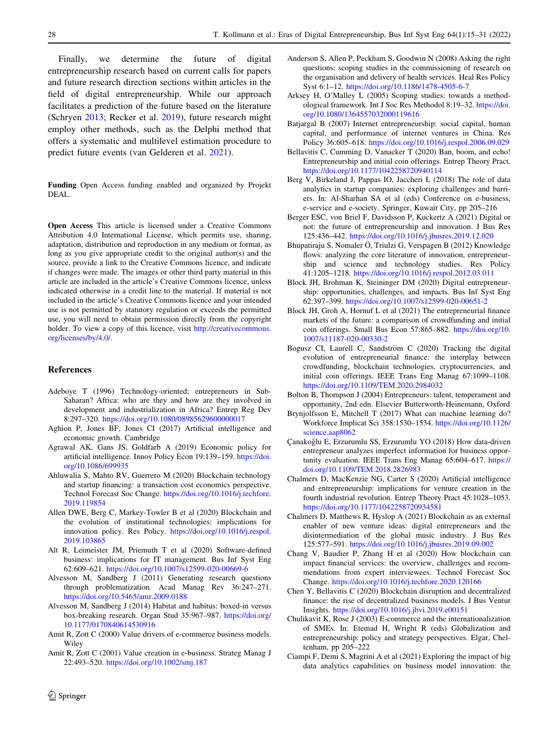<span id="page-13-0"></span>Finally, we determine the future of digital entrepreneurship research based on current calls for papers and future research direction sections within articles in the field of digital entrepreneurship. While our approach facilitates a prediction of the future based on the literature (Schryen [2013](#page-16-0); Recker et al. [2019](#page-15-0)), future research might employ other methods, such as the Delphi method that offers a systematic and multilevel estimation procedure to predict future events (van Gelderen et al. [2021](#page-16-0)).

Funding Open Access funding enabled and organized by Projekt DEAL.

Open Access This article is licensed under a Creative Commons Attribution 4.0 International License, which permits use, sharing, adaptation, distribution and reproduction in any medium or format, as long as you give appropriate credit to the original author(s) and the source, provide a link to the Creative Commons licence, and indicate if changes were made. The images or other third party material in this article are included in the article's Creative Commons licence, unless indicated otherwise in a credit line to the material. If material is not included in the article's Creative Commons licence and your intended use is not permitted by statutory regulation or exceeds the permitted use, you will need to obtain permission directly from the copyright holder. To view a copy of this licence, visit [http://creativecommons.](http://creativecommons.org/licenses/by/4.0/) [org/licenses/by/4.0/.](http://creativecommons.org/licenses/by/4.0/)

## References

- Adeboye T (1996) Technology-oriented; entrepreneurs in Sub-Saharan? Africa: who are they and how are they involved in development and industrialization in Africa? Entrep Reg Dev 8:297–320. <https://doi.org/10.1080/08985629600000017>
- Aghion P, Jones BF, Jones CI (2017) Artificial intelligence and economic growth. Cambridge
- Agrawal AK, Gans JS, Goldfarb A (2019) Economic policy for artificial intelligence. Innov Policy Econ 19:139–159. [https://doi.](https://doi.org/10.1086/699935) [org/10.1086/699935](https://doi.org/10.1086/699935)
- Ahluwalia S, Mahto RV, Guerrero M (2020) Blockchain technology and startup financing: a transaction cost economics perspective. Technol Forecast Soc Change. [https://doi.org/10.1016/j.techfore.](https://doi.org/10.1016/j.techfore.2019.119854) [2019.119854](https://doi.org/10.1016/j.techfore.2019.119854)
- Allen DWE, Berg C, Markey-Towler B et al (2020) Blockchain and the evolution of institutional technologies: implications for innovation policy. Res Policy. [https://doi.org/10.1016/j.respol.](https://doi.org/10.1016/j.respol.2019.103865) [2019.103865](https://doi.org/10.1016/j.respol.2019.103865)
- Alt R, Leimeister JM, Priemuth T et al (2020) Software-defined business: implications for IT management. Bus Inf Syst Eng 62:609–621. <https://doi.org/10.1007/s12599-020-00669-6>
- Alvesson M, Sandberg J (2011) Generating research questions through problematization. Acad Manag Rev 36:247–271. <https://doi.org/10.5465/amr.2009.0188>
- Alvesson M, Sandberg J (2014) Habitat and habitus: boxed-in versus box-breaking research. Organ Stud 35:967–987. [https://doi.org/](https://doi.org/10.1177/0170840614530916) [10.1177/0170840614530916](https://doi.org/10.1177/0170840614530916)
- Amit R, Zott C (2000) Value drivers of e-commerce business models. Wiley
- Amit R, Zott C (2001) Value creation in e-business. Strateg Manag J 22:493–520. <https://doi.org/10.1002/smj.187>
- Anderson S, Allen P, Peckham S, Goodwin N (2008) Asking the right questions: scoping studies in the commissioning of research on the organisation and delivery of health services. Heal Res Policy Syst 6:1–12. <https://doi.org/10.1186/1478-4505-6-7>
- Arksey H, O'Malley L (2005) Scoping studies: towards a methodological framework. Int J Soc Res Methodol 8:19–32. [https://doi.](https://doi.org/10.1080/1364557032000119616) [org/10.1080/1364557032000119616](https://doi.org/10.1080/1364557032000119616)
- Batjargal B (2007) Internet entrepreneurship: social capital, human capital, and performance of internet ventures in China. Res Policy 36:605–618. <https://doi.org/10.1016/j.respol.2006.09.029>
- Bellavitis C, Cumming D, Vanacker T (2020) Ban, boom, and echo! Entrepreneurship and initial coin offerings. Entrep Theory Pract. <https://doi.org/10.1177/1042258720940114>
- Berg V, Birkeland J, Pappas IO, Jaccheri L (2018) The role of data analytics in startup companies: exploring challenges and barriers. In: Al-Sharhan SA et al (eds) Conference on e-business, e-service and e-society. Springer, Kuwait City, pp 205–216
- Berger ESC, von Briel F, Davidsson P, Kuckertz A (2021) Digital or not: the future of entrepreneurship and innovation. J Bus Res 125:436–442. <https://doi.org/10.1016/j.jbusres.2019.12.020>
- Bhupatiraju S, Nomaler Ö, Triulzi G, Verspagen B (2012) Knowledge flows: analyzing the core literature of innovation, entrepreneurship and science and technology studies. Res Policy 41:1205–1218. <https://doi.org/10.1016/j.respol.2012.03.011>
- Block JH, Brohman K, Steininger DM (2020) Digital entrepreneurship: opportunities, challenges, and impacts. Bus Inf Syst Eng 62:397–399. <https://doi.org/10.1007/s12599-020-00651-2>
- Block JH, Groh A, Hornuf L et al (2021) The entrepreneurial finance markets of the future: a comparison of crowdfunding and initial coin offerings. Small Bus Econ 57:865–882. [https://doi.org/10.](https://doi.org/10.1007/s11187-020-00330-2) [1007/s11187-020-00330-2](https://doi.org/10.1007/s11187-020-00330-2)
- Bogusz CI, Laurell C, Sandström C (2020) Tracking the digital evolution of entrepreneurial finance: the interplay between crowdfunding, blockchain technologies, cryptocurrencies, and initial coin offerings. IEEE Trans Eng Manag 67:1099–1108. <https://doi.org/10.1109/TEM.2020.2984032>
- Bolton B, Thompson J (2004) Entrepreneurs: talent, temperament and opportunity, 2nd edn. Elsevier Butterworth-Heinemann, Oxford
- Brynjolfsson E, Mitchell T (2017) What can machine learning do? Workforce Implicat Sci 358:1530–1534. [https://doi.org/10.1126/](https://doi.org/10.1126/science.aap8062) [science.aap8062](https://doi.org/10.1126/science.aap8062)
- C¸ anakog˘lu E, Erzurumlu SS, Erzurumlu YO (2018) How data-driven entrepreneur analyzes imperfect information for business opportunity evaluation. IEEE Trans Eng Manag 65:604–617. [https://](https://doi.org/10.1109/TEM.2018.2826983) [doi.org/10.1109/TEM.2018.2826983](https://doi.org/10.1109/TEM.2018.2826983)
- Chalmers D, MacKenzie NG, Carter S (2020) Artificial intelligence and entrepreneurship: implications for venture creation in the fourth industrial revolution. Entrep Theory Pract 45:1028–1053. <https://doi.org/10.1177/1042258720934581>
- Chalmers D, Matthews R, Hyslop A (2021) Blockchain as an external enabler of new venture ideas: digital entrepreneurs and the disintermediation of the global music industry. J Bus Res 125:577–591. <https://doi.org/10.1016/j.jbusres.2019.09.002>
- Chang V, Baudier P, Zhang H et al (2020) How blockchain can impact financial services: the overview, challenges and recommendations from expert interviewees. Technol Forecast Soc Change. <https://doi.org/10.1016/j.techfore.2020.120166>
- Chen Y, Bellavitis C (2020) Blockchain disruption and decentralized finance: the rise of decentralized business models. J Bus Ventur Insights. <https://doi.org/10.1016/j.jbvi.2019.e00151>
- Chulikavit K, Rose J (2003) E-commerce and the internationalization of SMEs. In: Etemad H, Wright R (eds) Globalization and entrepreneurship: policy and strategy perspectives. Elgar, Cheltenham, pp 205–222
- Ciampi F, Demi S, Magrini A et al (2021) Exploring the impact of big data analytics capabilities on business model innovation: the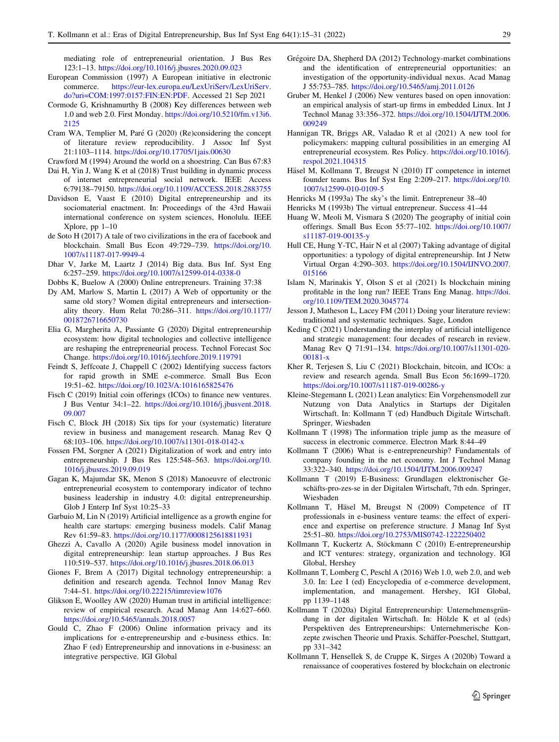<span id="page-14-0"></span>mediating role of entrepreneurial orientation. J Bus Res 123:1–13. <https://doi.org/10.1016/j.jbusres.2020.09.023>

- European Commission (1997) A European initiative in electronic commerce. [https://eur-lex.europa.eu/LexUriServ/LexUriServ.](https://eur-lex.europa.eu/LexUriServ/LexUriServ.do?uri=COM:1997:0157:FIN:EN:PDF) [do?uri=COM:1997:0157:FIN:EN:PDF.](https://eur-lex.europa.eu/LexUriServ/LexUriServ.do?uri=COM:1997:0157:FIN:EN:PDF) Accessed 21 Sep 2021
- Cormode G, Krishnamurthy B (2008) Key differences between web 1.0 and web 2.0. First Monday. [https://doi.org/10.5210/fm.v13i6.](https://doi.org/10.5210/fm.v13i6.2125) [2125](https://doi.org/10.5210/fm.v13i6.2125)
- Cram WA, Templier M, Paré G (2020) (Re)considering the concept of literature review reproducibility. J Assoc Inf Syst 21:1103–1114. <https://doi.org/10.17705/1jais.00630>
- Crawford M (1994) Around the world on a shoestring. Can Bus 67:83
- Dai H, Yin J, Wang K et al (2018) Trust building in dynamic process of internet entrepreneurial social network. IEEE Access 6:79138–79150. <https://doi.org/10.1109/ACCESS.2018.2883755>
- Davidson E, Vaast E (2010) Digital entrepreneurship and its sociomaterial enactment. In: Proceedings of the 43rd Hawaii international conference on system sciences, Honolulu. IEEE Xplore, pp 1–10
- de Soto H (2017) A tale of two civilizations in the era of facebook and blockchain. Small Bus Econ 49:729–739. [https://doi.org/10.](https://doi.org/10.1007/s11187-017-9949-4) [1007/s11187-017-9949-4](https://doi.org/10.1007/s11187-017-9949-4)
- Dhar V, Jarke M, Laartz J (2014) Big data. Bus Inf. Syst Eng 6:257–259. <https://doi.org/10.1007/s12599-014-0338-0>
- Dobbs K, Buelow A (2000) Online entrepreneurs. Training 37:38
- Dy AM, Marlow S, Martin L (2017) A Web of opportunity or the same old story? Women digital entrepreneurs and intersectionality theory. Hum Relat 70:286–311. [https://doi.org/10.1177/](https://doi.org/10.1177/0018726716650730) [0018726716650730](https://doi.org/10.1177/0018726716650730)
- Elia G, Margherita A, Passiante G (2020) Digital entrepreneurship ecosystem: how digital technologies and collective intelligence are reshaping the entrepreneurial process. Technol Forecast Soc Change. <https://doi.org/10.1016/j.techfore.2019.119791>
- Feindt S, Jeffcoate J, Chappell C (2002) Identifying success factors for rapid growth in SME e-commerce. Small Bus Econ 19:51–62. <https://doi.org/10.1023/A:1016165825476>
- Fisch C (2019) Initial coin offerings (ICOs) to finance new ventures. J Bus Ventur 34:1–22. [https://doi.org/10.1016/j.jbusvent.2018.](https://doi.org/10.1016/j.jbusvent.2018.09.007) [09.007](https://doi.org/10.1016/j.jbusvent.2018.09.007)
- Fisch C, Block JH (2018) Six tips for your (systematic) literature review in business and management research. Manag Rev Q 68:103–106. <https://doi.org/10.1007/s11301-018-0142-x>
- Fossen FM, Sorgner A (2021) Digitalization of work and entry into entrepreneurship. J Bus Res 125:548–563. [https://doi.org/10.](https://doi.org/10.1016/j.jbusres.2019.09.019) [1016/j.jbusres.2019.09.019](https://doi.org/10.1016/j.jbusres.2019.09.019)
- Gagan K, Majumdar SK, Menon S (2018) Manoeuvre of electronic entrepreneurial ecosystem to contemporary indicator of techno business leadership in industry 4.0: digital entrepreneurship. Glob J Enterp Inf Syst 10:25–33
- Garbuio M, Lin N (2019) Artificial intelligence as a growth engine for health care startups: emerging business models. Calif Manag Rev 61:59–83. <https://doi.org/10.1177/0008125618811931>
- Ghezzi A, Cavallo A (2020) Agile business model innovation in digital entrepreneurship: lean startup approaches. J Bus Res 110:519–537. <https://doi.org/10.1016/j.jbusres.2018.06.013>
- Giones F, Brem A (2017) Digital technology entrepreneurship: a definition and research agenda. Technol Innov Manag Rev 7:44–51. <https://doi.org/10.22215/timreview1076>
- Glikson E, Woolley AW (2020) Human trust in artificial intelligence: review of empirical research. Acad Manag Ann 14:627–660. <https://doi.org/10.5465/annals.2018.0057>
- Gould C, Zhao F (2006) Online information privacy and its implications for e-entrepreneurship and e-business ethics. In: Zhao F (ed) Entrepreneurship and innovations in e-business: an integrative perspective. IGI Global
- Grégoire DA, Shepherd DA (2012) Technology-market combinations and the identification of entrepreneurial opportunities: an investigation of the opportunity-individual nexus. Acad Manag J 55:753–785. <https://doi.org/10.5465/amj.2011.0126>
- Gruber M, Henkel J (2006) New ventures based on open innovation: an empirical analysis of start-up firms in embedded Linux. Int J Technol Manag 33:356–372. [https://doi.org/10.1504/IJTM.2006.](https://doi.org/10.1504/IJTM.2006.009249) [009249](https://doi.org/10.1504/IJTM.2006.009249)
- Hannigan TR, Briggs AR, Valadao R et al (2021) A new tool for policymakers: mapping cultural possibilities in an emerging AI entrepreneurial ecosystem. Res Policy. [https://doi.org/10.1016/j.](https://doi.org/10.1016/j.respol.2021.104315) [respol.2021.104315](https://doi.org/10.1016/j.respol.2021.104315)
- Häsel M, Kollmann T, Breugst N (2010) IT competence in internet founder teams. Bus Inf Syst Eng 2:209–217. [https://doi.org/10.](https://doi.org/10.1007/s12599-010-0109-5) [1007/s12599-010-0109-5](https://doi.org/10.1007/s12599-010-0109-5)
- Henricks M (1993a) The sky's the limit. Entrepreneur 38–40
- Henricks M (1993b) The virtual entrepreneur. Success 41–44
- Huang W, Meoli M, Vismara S (2020) The geography of initial coin offerings. Small Bus Econ 55:77–102. [https://doi.org/10.1007/](https://doi.org/10.1007/s11187-019-00135-y) [s11187-019-00135-y](https://doi.org/10.1007/s11187-019-00135-y)
- Hull CE, Hung Y-TC, Hair N et al (2007) Taking advantage of digital opportunities: a typology of digital entrepreneurship. Int J Netw Virtual Organ 4:290–303. [https://doi.org/10.1504/IJNVO.2007.](https://doi.org/10.1504/IJNVO.2007.015166) [015166](https://doi.org/10.1504/IJNVO.2007.015166)
- Islam N, Marinakis Y, Olson S et al (2021) Is blockchain mining profitable in the long run? IEEE Trans Eng Manag. [https://doi.](https://doi.org/10.1109/TEM.2020.3045774) [org/10.1109/TEM.2020.3045774](https://doi.org/10.1109/TEM.2020.3045774)
- Jesson J, Matheson L, Lacey FM (2011) Doing your literature review: traditional and systematic techniques. Sage, London
- Keding C (2021) Understanding the interplay of artificial intelligence and strategic management: four decades of research in review. Manag Rev Q 71:91–134. [https://doi.org/10.1007/s11301-020-](https://doi.org/10.1007/s11301-020-00181-x) [00181-x](https://doi.org/10.1007/s11301-020-00181-x)
- Kher R, Terjesen S, Liu C (2021) Blockchain, bitcoin, and ICOs: a review and research agenda. Small Bus Econ 56:1699–1720. <https://doi.org/10.1007/s11187-019-00286-y>
- Kleine-Stegemann L (2021) Lean analytics: Ein Vorgehensmodell zur Nutzung von Data Analytics in Startups der Digitalen Wirtschaft. In: Kollmann T (ed) Handbuch Digitale Wirtschaft. Springer, Wiesbaden
- Kollmann T (1998) The information triple jump as the measure of success in electronic commerce. Electron Mark 8:44–49
- Kollmann T (2006) What is e-entrepreneurship? Fundamentals of company founding in the net economy. Int J Technol Manag 33:322–340. <https://doi.org/10.1504/IJTM.2006.009247>
- Kollmann T (2019) E-Business: Grundlagen elektronischer Geschäfts-pro-zes-se in der Digitalen Wirtschaft, 7th edn. Springer, Wiesbaden
- Kollmann T, Häsel M, Breugst N (2009) Competence of IT professionals in e-business venture teams: the effect of experience and expertise on preference structure. J Manag Inf Syst 25:51–80. <https://doi.org/10.2753/MIS0742-1222250402>
- Kollmann T, Kuckertz A, Stöckmann C (2010) E-entrepreneurship and ICT ventures: strategy, organization and technology. IGI Global, Hershey
- Kollmann T, Lomberg C, Peschl A (2016) Web 1.0, web 2.0, and web 3.0. In: Lee I (ed) Encyclopedia of e-commerce development, implementation, and management. Hershey, IGI Global, pp 1139–1148
- Kollmann T (2020a) Digital Entrepreneurship: Unternehmensgründung in der digitalen Wirtschaft. In: Hölzle K et al (eds) Perspektiven des Entrepreneurships: Unternehmerische Konzepte zwischen Theorie und Praxis. Schäffer-Poeschel, Stuttgart, pp 331–342
- Kollmann T, Hensellek S, de Cruppe K, Sirges A (2020b) Toward a renaissance of cooperatives fostered by blockchain on electronic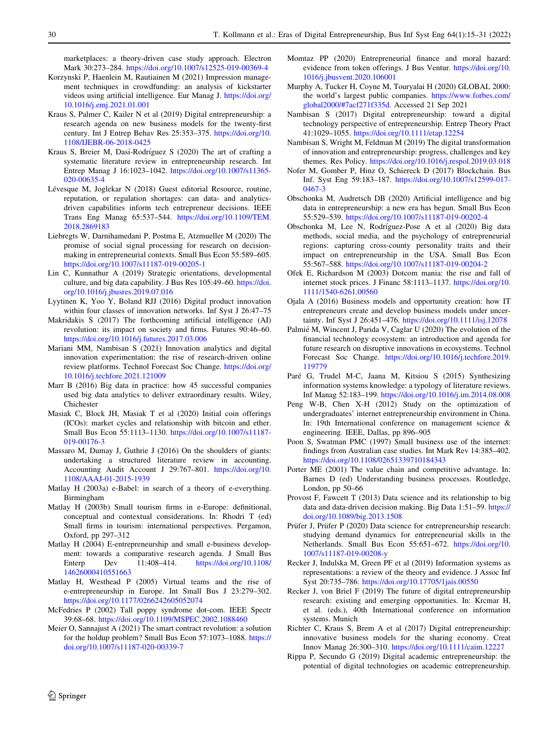<span id="page-15-0"></span>marketplaces: a theory-driven case study approach. Electron Mark 30:273–284. <https://doi.org/10.1007/s12525-019-00369-4>

- Korzynski P, Haenlein M, Rautiainen M (2021) Impression management techniques in crowdfunding: an analysis of kickstarter videos using artificial intelligence. Eur Manag J. [https://doi.org/](https://doi.org/10.1016/j.emj.2021.01.001) [10.1016/j.emj.2021.01.001](https://doi.org/10.1016/j.emj.2021.01.001)
- Kraus S, Palmer C, Kailer N et al (2019) Digital entrepreneurship: a research agenda on new business models for the twenty-first century. Int J Entrep Behav Res 25:353–375. [https://doi.org/10.](https://doi.org/10.1108/IJEBR-06-2018-0425) [1108/IJEBR-06-2018-0425](https://doi.org/10.1108/IJEBR-06-2018-0425)
- Kraus S, Breier M, Dasí-Rodríguez S (2020) The art of crafting a systematic literature review in entrepreneurship research. Int Entrep Manag J 16:1023–1042. [https://doi.org/10.1007/s11365-](https://doi.org/10.1007/s11365-020-00635-4) [020-00635-4](https://doi.org/10.1007/s11365-020-00635-4)
- Lévesque M, Joglekar N (2018) Guest editorial Resource, routine, reputation, or regulation shortages: can data- and analyticsdriven capabilities inform tech entrepreneur decisions. IEEE Trans Eng Manag 65:537–544. [https://doi.org/10.1109/TEM.](https://doi.org/10.1109/TEM.2018.2869183) [2018.2869183](https://doi.org/10.1109/TEM.2018.2869183)
- Liebregts W, Darnihamedani P, Postma E, Atzmueller M (2020) The promise of social signal processing for research on decisionmaking in entrepreneurial contexts. Small Bus Econ 55:589–605. <https://doi.org/10.1007/s11187-019-00205-1>
- Lin C, Kunnathur A (2019) Strategic orientations, developmental culture, and big data capability. J Bus Res 105:49–60. [https://doi.](https://doi.org/10.1016/j.jbusres.2019.07.016) [org/10.1016/j.jbusres.2019.07.016](https://doi.org/10.1016/j.jbusres.2019.07.016)
- Lyytinen K, Yoo Y, Boland RJJ (2016) Digital product innovation within four classes of innovation networks. Inf Syst J 26:47–75
- Makridakis S (2017) The forthcoming artificial intelligence (AI) revolution: its impact on society and firms. Futures 90:46–60. <https://doi.org/10.1016/j.futures.2017.03.006>
- Mariani MM, Nambisan S (2021) Innovation analytics and digital innovation experimentation: the rise of research-driven online review platforms. Technol Forecast Soc Change. [https://doi.org/](https://doi.org/10.1016/j.techfore.2021.121009) [10.1016/j.techfore.2021.121009](https://doi.org/10.1016/j.techfore.2021.121009)
- Marr B (2016) Big data in practice: how 45 successful companies used big data analytics to deliver extraordinary results. Wiley, Chichester
- Masiak C, Block JH, Masiak T et al (2020) Initial coin offerings (ICOs): market cycles and relationship with bitcoin and ether. Small Bus Econ 55:1113–1130. [https://doi.org/10.1007/s11187-](https://doi.org/10.1007/s11187-019-00176-3) [019-00176-3](https://doi.org/10.1007/s11187-019-00176-3)
- Massaro M, Dumay J, Guthrie J (2016) On the shoulders of giants: undertaking a structured literature review in accounting. Accounting Audit Account J 29:767–801. [https://doi.org/10.](https://doi.org/10.1108/AAAJ-01-2015-1939) [1108/AAAJ-01-2015-1939](https://doi.org/10.1108/AAAJ-01-2015-1939)
- Matlay H (2003a) e-Babel: in search of a theory of e-everything. Birmingham
- Matlay H (2003b) Small tourism firms in e-Europe: definitional, conceptual and contextual considerations. In: Rhodri T (ed) Small firms in tourism: international perspectives. Pergamon, Oxford, pp 297–312
- Matlay H (2004) E-entrepreneurship and small e-business development: towards a comparative research agenda. J Small Bus Enterp Dev 11:408–414. [https://doi.org/10.1108/](https://doi.org/10.1108/14626000410551663) [14626000410551663](https://doi.org/10.1108/14626000410551663)
- Matlay H, Westhead P (2005) Virtual teams and the rise of e-entrepreneurship in Europe. Int Small Bus J 23:279–302. <https://doi.org/10.1177/0266242605052074>
- McFedries P (2002) Tall poppy syndrome dot-com. IEEE Spectr 39:68–68. <https://doi.org/10.1109/MSPEC.2002.1088460>
- Meier O, Sannajust A (2021) The smart contract revolution: a solution for the holdup problem? Small Bus Econ 57:1073–1088. [https://](https://doi.org/10.1007/s11187-020-00339-7) [doi.org/10.1007/s11187-020-00339-7](https://doi.org/10.1007/s11187-020-00339-7)
- Momtaz PP (2020) Entrepreneurial finance and moral hazard: evidence from token offerings. J Bus Ventur. [https://doi.org/10.](https://doi.org/10.1016/j.jbusvent.2020.106001) [1016/j.jbusvent.2020.106001](https://doi.org/10.1016/j.jbusvent.2020.106001)
- Murphy A, Tucker H, Coyne M, Touryalai H (2020) GLOBAL 2000: the world's largest public companies. [https://www.forbes.com/](https://www.forbes.com/global2000/#7acf271f335d) [global2000/#7acf271f335d](https://www.forbes.com/global2000/#7acf271f335d). Accessed 21 Sep 2021
- Nambisan S (2017) Digital entrepreneurship: toward a digital technology perspective of entrepreneurship. Entrep Theory Pract 41:1029–1055. <https://doi.org/10.1111/etap.12254>
- Nambisan S, Wright M, Feldman M (2019) The digital transformation of innovation and entrepreneurship: progress, challenges and key themes. Res Policy. <https://doi.org/10.1016/j.respol.2019.03.018>
- Nofer M, Gomber P, Hinz O, Schiereck D (2017) Blockchain. Bus Inf. Syst Eng 59:183–187. [https://doi.org/10.1007/s12599-017-](https://doi.org/10.1007/s12599-017-0467-3) [0467-3](https://doi.org/10.1007/s12599-017-0467-3)
- Obschonka M, Audretsch DB (2020) Artificial intelligence and big data in entrepreneurship: a new era has begun. Small Bus Econ 55:529–539. <https://doi.org/10.1007/s11187-019-00202-4>
- Obschonka M, Lee N, Rodríguez-Pose A et al (2020) Big data methods, social media, and the psychology of entrepreneurial regions: capturing cross-county personality traits and their impact on entrepreneurship in the USA. Small Bus Econ 55:567–588. <https://doi.org/10.1007/s11187-019-00204-2>
- Ofek E, Richardson M (2003) Dotcom mania: the rise and fall of internet stock prices. J Financ 58:1113–1137. [https://doi.org/10.](https://doi.org/10.1111/1540-6261.00560) [1111/1540-6261.00560](https://doi.org/10.1111/1540-6261.00560)
- Ojala A (2016) Business models and opportunity creation: how IT entrepreneurs create and develop business models under uncertainty. Inf Syst J 26:451–476. <https://doi.org/10.1111/isj.12078>
- Palmié M, Wincent J, Parida V, Caglar U (2020) The evolution of the financial technology ecosystem: an introduction and agenda for future research on disruptive innovations in ecosystems. Technol Forecast Soc Change. [https://doi.org/10.1016/j.techfore.2019.](https://doi.org/10.1016/j.techfore.2019.119779) [119779](https://doi.org/10.1016/j.techfore.2019.119779)
- Paré G, Trudel M-C, Jaana M, Kitsiou S (2015) Synthesizing information systems knowledge: a typology of literature reviews. Inf Manag 52:183–199. <https://doi.org/10.1016/j.im.2014.08.008>
- Peng W-B, Chen X-H (2012) Study on the optimization of undergraduates' internet entrepreneurship environment in China. In: 19th International conference on management science & engineering. IEEE, Dallas, pp 896–905
- Poon S, Swatman PMC (1997) Small business use of the internet: findings from Australian case studies. Int Mark Rev 14:385–402. <https://doi.org/10.1108/02651339710184343>
- Porter ME (2001) The value chain and competitive advantage. In: Barnes D (ed) Understanding business processes. Routledge, London, pp 50–66
- Provost F, Fawcett T (2013) Data science and its relationship to big data and data-driven decision making. Big Data 1:51–59. [https://](https://doi.org/10.1089/big.2013.1508) [doi.org/10.1089/big.2013.1508](https://doi.org/10.1089/big.2013.1508)
- Prüfer J, Prüfer P (2020) Data science for entrepreneurship research: studying demand dynamics for entrepreneurial skills in the Netherlands. Small Bus Econ 55:651–672. [https://doi.org/10.](https://doi.org/10.1007/s11187-019-00208-y) [1007/s11187-019-00208-y](https://doi.org/10.1007/s11187-019-00208-y)
- Recker J, Indulska M, Green PF et al (2019) Information systems as representations: a review of the theory and evidence. J Assoc Inf Syst 20:735–786. <https://doi.org/10.17705/1jais.00550>
- Recker J, von Briel F (2019) The future of digital entrepreneurship research: existing and emerging opportunities. In: Krcmar H, et al. (eds.), 40th International conference on information systems. Munich
- Richter C, Kraus S, Brem A et al (2017) Digital entrepreneurship: innovative business models for the sharing economy. Creat Innov Manag 26:300–310. <https://doi.org/10.1111/caim.12227>
- Rippa P, Secundo G (2019) Digital academic entrepreneurship: the potential of digital technologies on academic entrepreneurship.